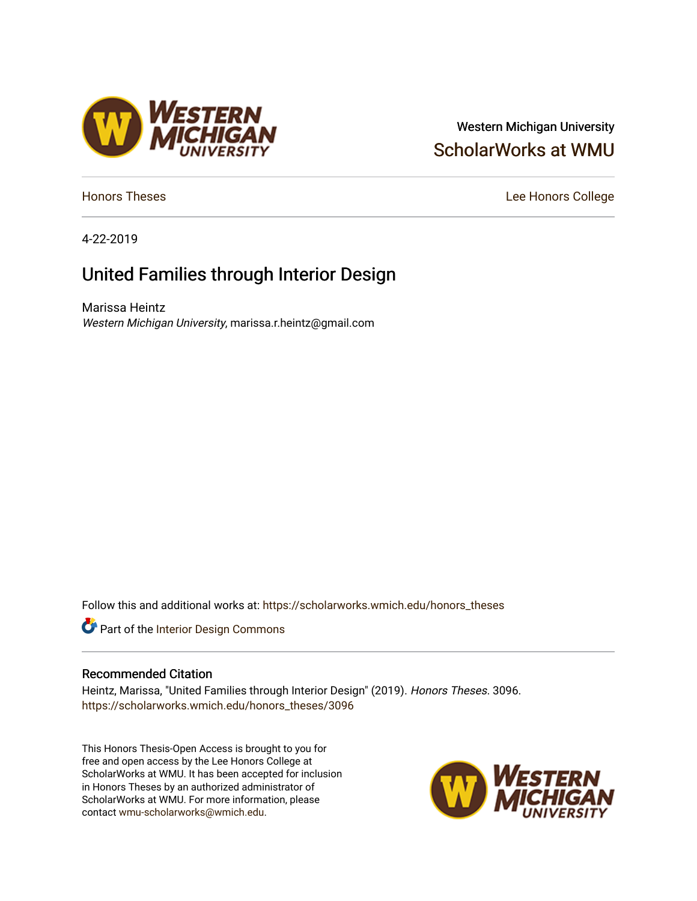### Western Michigan University [ScholarWorks at WMU](https://scholarworks.wmich.edu/)

[Honors Theses](https://scholarworks.wmich.edu/honors_theses) **Lee Honors** College

4-22-2019

## United Families through Interior Design

Marissa Heintz Western Michigan University, marissa.r.heintz@gmail.com

/ESTERN<br>¶ICHIGAN

Follow this and additional works at: [https://scholarworks.wmich.edu/honors\\_theses](https://scholarworks.wmich.edu/honors_theses?utm_source=scholarworks.wmich.edu%2Fhonors_theses%2F3096&utm_medium=PDF&utm_campaign=PDFCoverPages)



#### Recommended Citation

Heintz, Marissa, "United Families through Interior Design" (2019). Honors Theses. 3096. [https://scholarworks.wmich.edu/honors\\_theses/3096](https://scholarworks.wmich.edu/honors_theses/3096?utm_source=scholarworks.wmich.edu%2Fhonors_theses%2F3096&utm_medium=PDF&utm_campaign=PDFCoverPages) 

This Honors Thesis-Open Access is brought to you for free and open access by the Lee Honors College at ScholarWorks at WMU. It has been accepted for inclusion in Honors Theses by an authorized administrator of ScholarWorks at WMU. For more information, please contact [wmu-scholarworks@wmich.edu](mailto:wmu-scholarworks@wmich.edu).

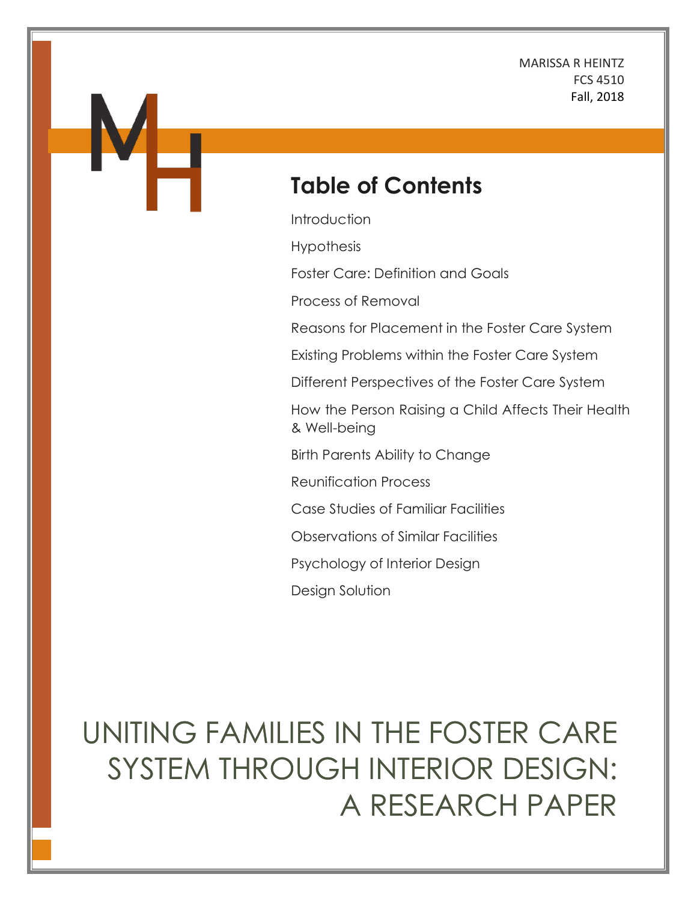MARISSA R HEINTZ FCS 4510 Fall, 2018

# **Table of Contents**

**Introduction** 

Hypothesis

Foster Care: Definition and Goals

Process of Removal

Reasons for Placement in the Foster Care System

Existing Problems within the Foster Care System

Different Perspectives of the Foster Care System

How the Person Raising a Child Affects Their Health & Well-being

Birth Parents Ability to Change

Reunification Process

Case Studies of Familiar Facilities

Observations of Similar Facilities

Psychology of Interior Design

Design Solution

# UNITING FAMILIES IN THE FOSTER CARE SYSTEM THROUGH INTERIOR DESIGN: A RESEARCH PAPER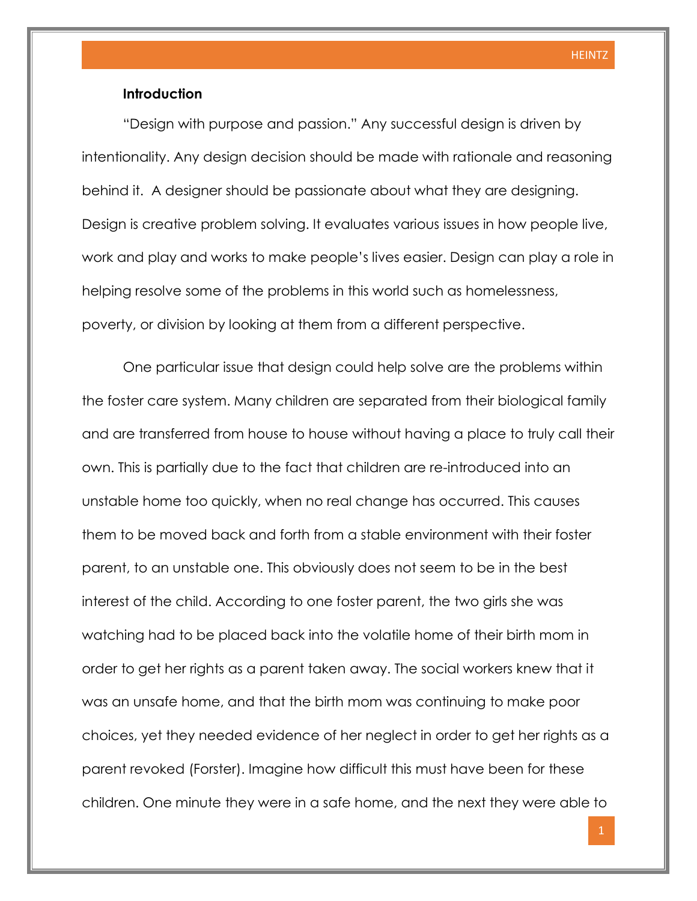#### **Introduction**

"Design with purpose and passion." Any successful design is driven by intentionality. Any design decision should be made with rationale and reasoning behind it. A designer should be passionate about what they are designing. Design is creative problem solving. It evaluates various issues in how people live, work and play and works to make people's lives easier. Design can play a role in helping resolve some of the problems in this world such as homelessness, poverty, or division by looking at them from a different perspective.

One particular issue that design could help solve are the problems within the foster care system. Many children are separated from their biological family and are transferred from house to house without having a place to truly call their own. This is partially due to the fact that children are re-introduced into an unstable home too quickly, when no real change has occurred. This causes them to be moved back and forth from a stable environment with their foster parent, to an unstable one. This obviously does not seem to be in the best interest of the child. According to one foster parent, the two girls she was watching had to be placed back into the volatile home of their birth mom in order to get her rights as a parent taken away. The social workers knew that it was an unsafe home, and that the birth mom was continuing to make poor choices, yet they needed evidence of her neglect in order to get her rights as a parent revoked (Forster). Imagine how difficult this must have been for these children. One minute they were in a safe home, and the next they were able to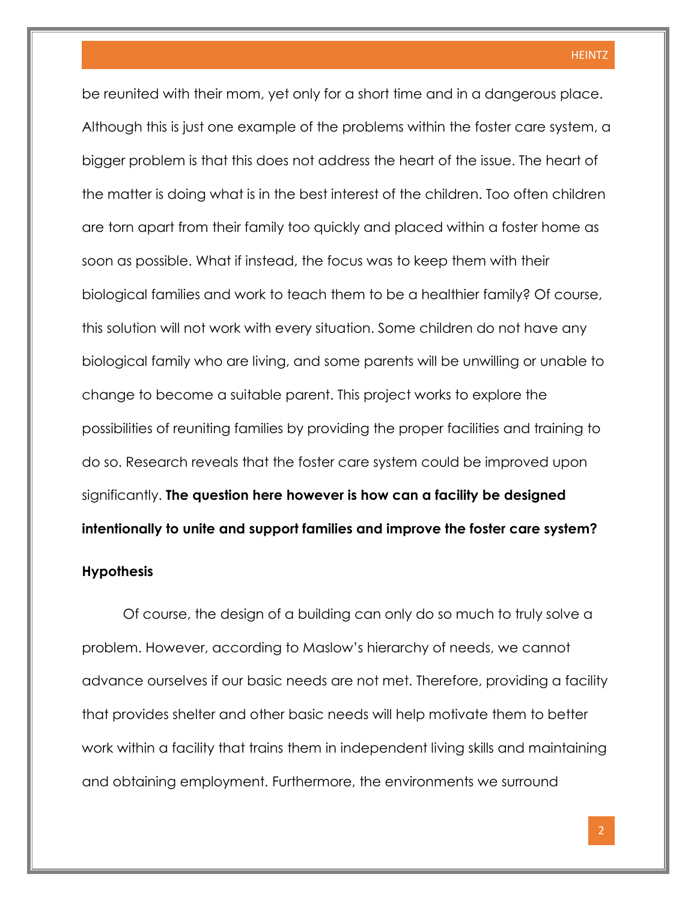be reunited with their mom, yet only for a short time and in a dangerous place. Although this is just one example of the problems within the foster care system, a bigger problem is that this does not address the heart of the issue. The heart of the matter is doing what is in the best interest of the children. Too often children are torn apart from their family too quickly and placed within a foster home as soon as possible. What if instead, the focus was to keep them with their biological families and work to teach them to be a healthier family? Of course, this solution will not work with every situation. Some children do not have any biological family who are living, and some parents will be unwilling or unable to change to become a suitable parent. This project works to explore the possibilities of reuniting families by providing the proper facilities and training to do so. Research reveals that the foster care system could be improved upon significantly. **The question here however is how can a facility be designed intentionally to unite and support families and improve the foster care system?** 

#### **Hypothesis**

Of course, the design of a building can only do so much to truly solve a problem. However, according to Maslow's hierarchy of needs, we cannot advance ourselves if our basic needs are not met. Therefore, providing a facility that provides shelter and other basic needs will help motivate them to better work within a facility that trains them in independent living skills and maintaining and obtaining employment. Furthermore, the environments we surround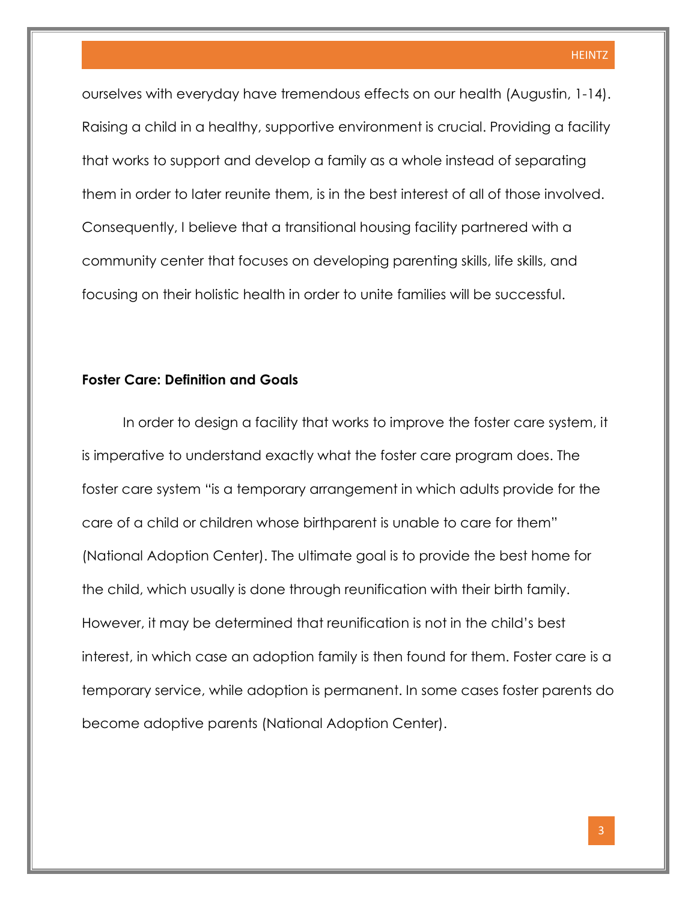ourselves with everyday have tremendous effects on our health (Augustin, 1-14). Raising a child in a healthy, supportive environment is crucial. Providing a facility that works to support and develop a family as a whole instead of separating them in order to later reunite them, is in the best interest of all of those involved. Consequently, I believe that a transitional housing facility partnered with a community center that focuses on developing parenting skills, life skills, and focusing on their holistic health in order to unite families will be successful.

#### **Foster Care: Definition and Goals**

In order to design a facility that works to improve the foster care system, it is imperative to understand exactly what the foster care program does. The foster care system "is a temporary arrangement in which adults provide for the care of a child or children whose birthparent is unable to care for them" (National Adoption Center). The ultimate goal is to provide the best home for the child, which usually is done through reunification with their birth family. However, it may be determined that reunification is not in the child's best interest, in which case an adoption family is then found for them. Foster care is a temporary service, while adoption is permanent. In some cases foster parents do become adoptive parents (National Adoption Center).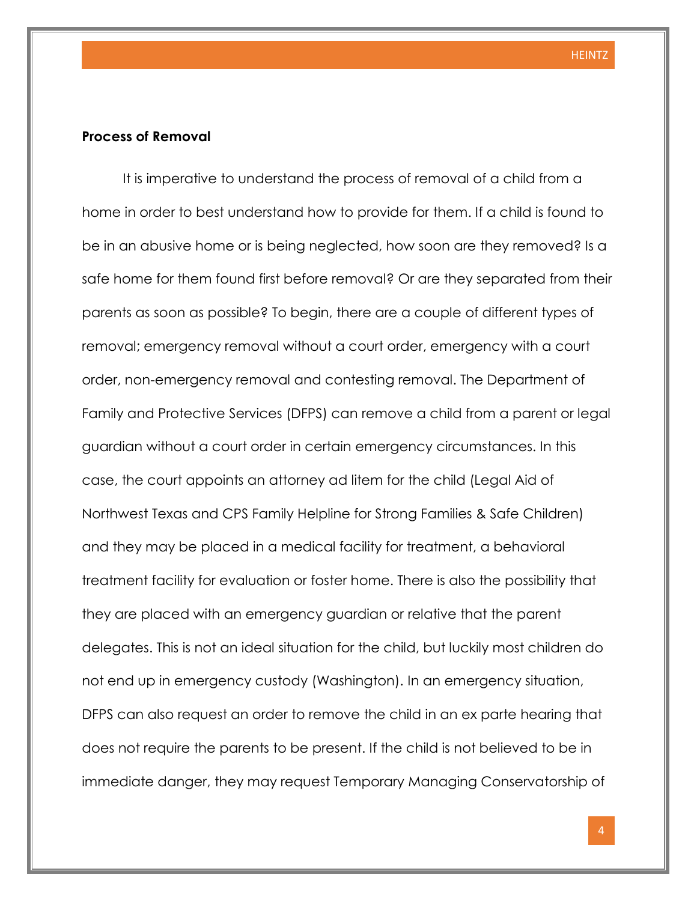#### **Process of Removal**

It is imperative to understand the process of removal of a child from a home in order to best understand how to provide for them. If a child is found to be in an abusive home or is being neglected, how soon are they removed? Is a safe home for them found first before removal? Or are they separated from their parents as soon as possible? To begin, there are a couple of different types of removal; emergency removal without a court order, emergency with a court order, non-emergency removal and contesting removal. The Department of Family and Protective Services (DFPS) can remove a child from a parent or legal guardian without a court order in certain emergency circumstances. In this case, the court appoints an attorney ad litem for the child (Legal Aid of Northwest Texas and CPS Family Helpline for Strong Families & Safe Children) and they may be placed in a medical facility for treatment, a behavioral treatment facility for evaluation or foster home. There is also the possibility that they are placed with an emergency guardian or relative that the parent delegates. This is not an ideal situation for the child, but luckily most children do not end up in emergency custody (Washington). In an emergency situation, DFPS can also request an order to remove the child in an ex parte hearing that does not require the parents to be present. If the child is not believed to be in immediate danger, they may request Temporary Managing Conservatorship of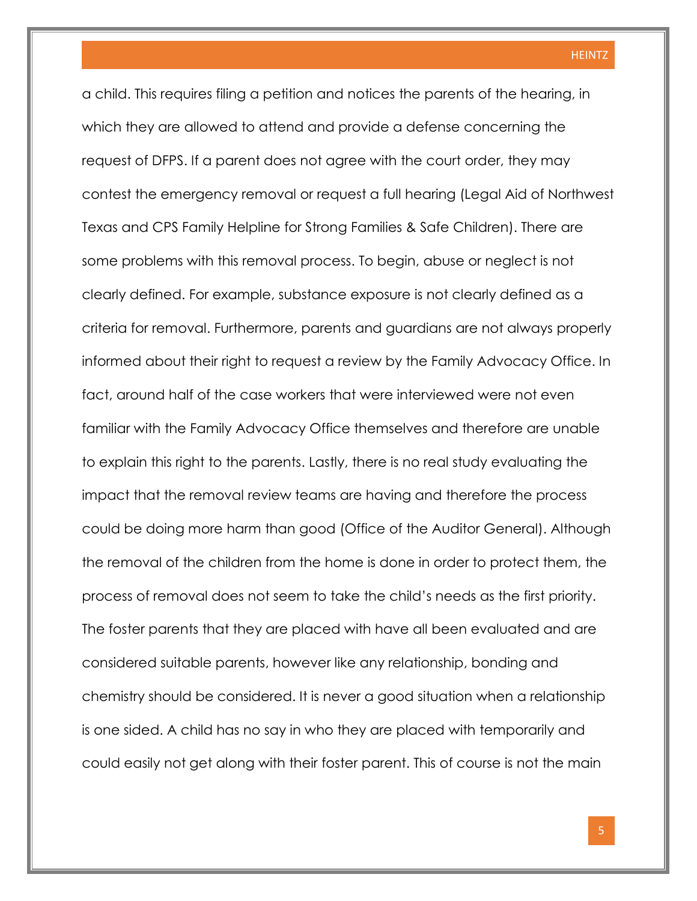a child. This requires filing a petition and notices the parents of the hearing, in which they are allowed to attend and provide a defense concerning the request of DFPS. If a parent does not agree with the court order, they may contest the emergency removal or request a full hearing (Legal Aid of Northwest Texas and CPS Family Helpline for Strong Families & Safe Children). There are some problems with this removal process. To begin, abuse or neglect is not clearly defined. For example, substance exposure is not clearly defined as a criteria for removal. Furthermore, parents and guardians are not always properly informed about their right to request a review by the Family Advocacy Office. In fact, around half of the case workers that were interviewed were not even familiar with the Family Advocacy Office themselves and therefore are unable to explain this right to the parents. Lastly, there is no real study evaluating the impact that the removal review teams are having and therefore the process could be doing more harm than good (Office of the Auditor General). Although the removal of the children from the home is done in order to protect them, the process of removal does not seem to take the child's needs as the first priority. The foster parents that they are placed with have all been evaluated and are considered suitable parents, however like any relationship, bonding and chemistry should be considered. It is never a good situation when a relationship is one sided. A child has no say in who they are placed with temporarily and could easily not get along with their foster parent. This of course is not the main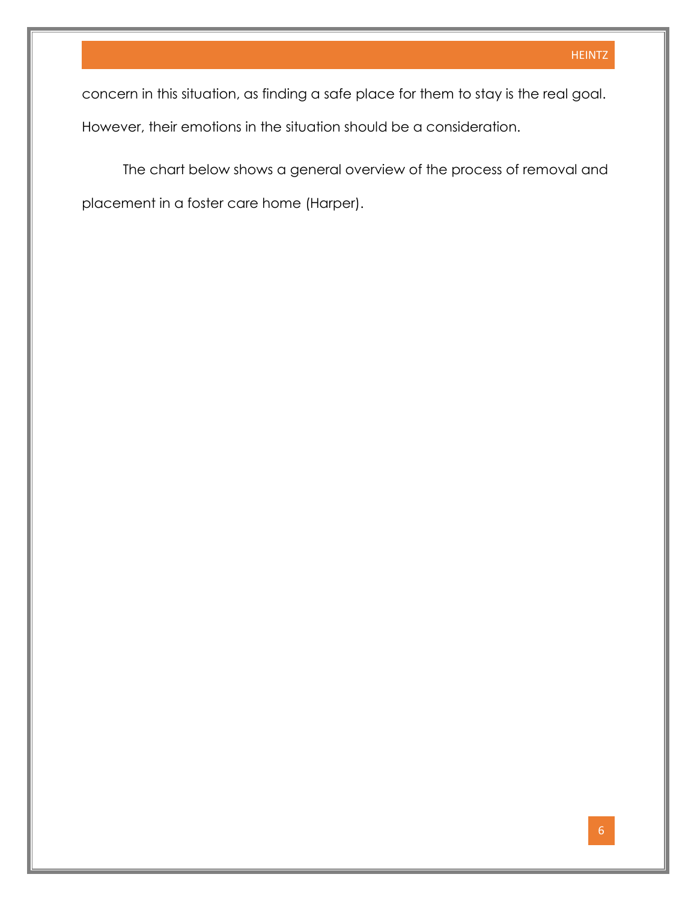concern in this situation, as finding a safe place for them to stay is the real goal. However, their emotions in the situation should be a consideration.

The chart below shows a general overview of the process of removal and placement in a foster care home (Harper).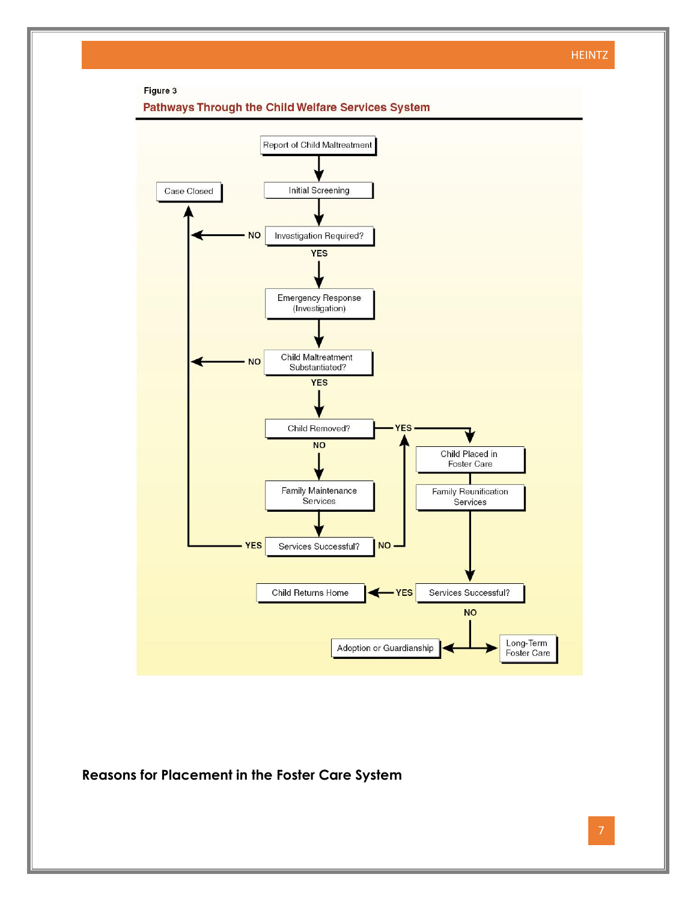

**Reasons for Placement in the Foster Care System**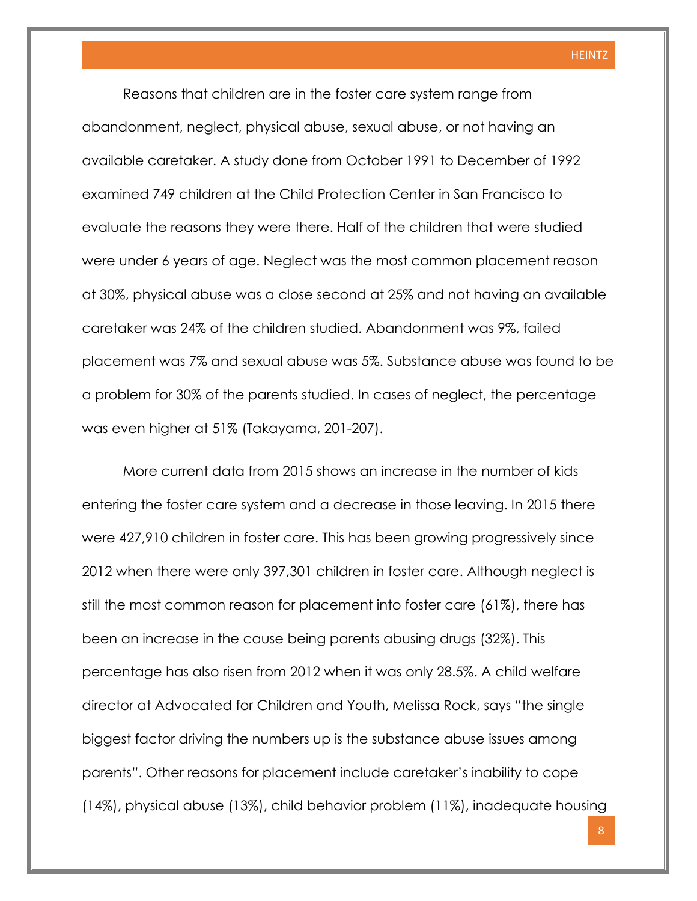Reasons that children are in the foster care system range from abandonment, neglect, physical abuse, sexual abuse, or not having an available caretaker. A study done from October 1991 to December of 1992 examined 749 children at the Child Protection Center in San Francisco to evaluate the reasons they were there. Half of the children that were studied were under 6 years of age. Neglect was the most common placement reason at 30%, physical abuse was a close second at 25% and not having an available caretaker was 24% of the children studied. Abandonment was 9%, failed placement was 7% and sexual abuse was 5%. Substance abuse was found to be a problem for 30% of the parents studied. In cases of neglect, the percentage was even higher at 51% (Takayama, 201-207).

More current data from 2015 shows an increase in the number of kids entering the foster care system and a decrease in those leaving. In 2015 there were 427,910 children in foster care. This has been growing progressively since 2012 when there were only 397,301 children in foster care. Although neglect is still the most common reason for placement into foster care (61%), there has been an increase in the cause being parents abusing drugs (32%). This percentage has also risen from 2012 when it was only 28.5%. A child welfare director at Advocated for Children and Youth, Melissa Rock, says "the single biggest factor driving the numbers up is the substance abuse issues among parents". Other reasons for placement include caretaker's inability to cope (14%), physical abuse (13%), child behavior problem (11%), inadequate housing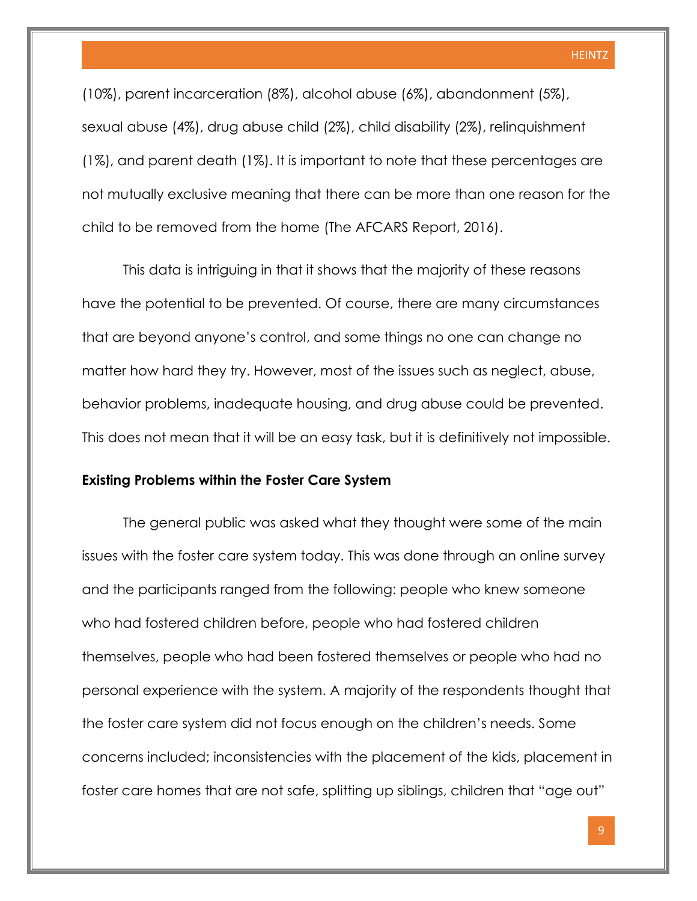(10%), parent incarceration (8%), alcohol abuse (6%), abandonment (5%), sexual abuse (4%), drug abuse child (2%), child disability (2%), relinquishment (1%), and parent death (1%). It is important to note that these percentages are not mutually exclusive meaning that there can be more than one reason for the child to be removed from the home (The AFCARS Report, 2016).

This data is intriguing in that it shows that the majority of these reasons have the potential to be prevented. Of course, there are many circumstances that are beyond anyone's control, and some things no one can change no matter how hard they try. However, most of the issues such as neglect, abuse, behavior problems, inadequate housing, and drug abuse could be prevented. This does not mean that it will be an easy task, but it is definitively not impossible.

#### **Existing Problems within the Foster Care System**

The general public was asked what they thought were some of the main issues with the foster care system today. This was done through an online survey and the participants ranged from the following: people who knew someone who had fostered children before, people who had fostered children themselves, people who had been fostered themselves or people who had no personal experience with the system. A majority of the respondents thought that the foster care system did not focus enough on the children's needs. Some concerns included; inconsistencies with the placement of the kids, placement in foster care homes that are not safe, splitting up siblings, children that "age out"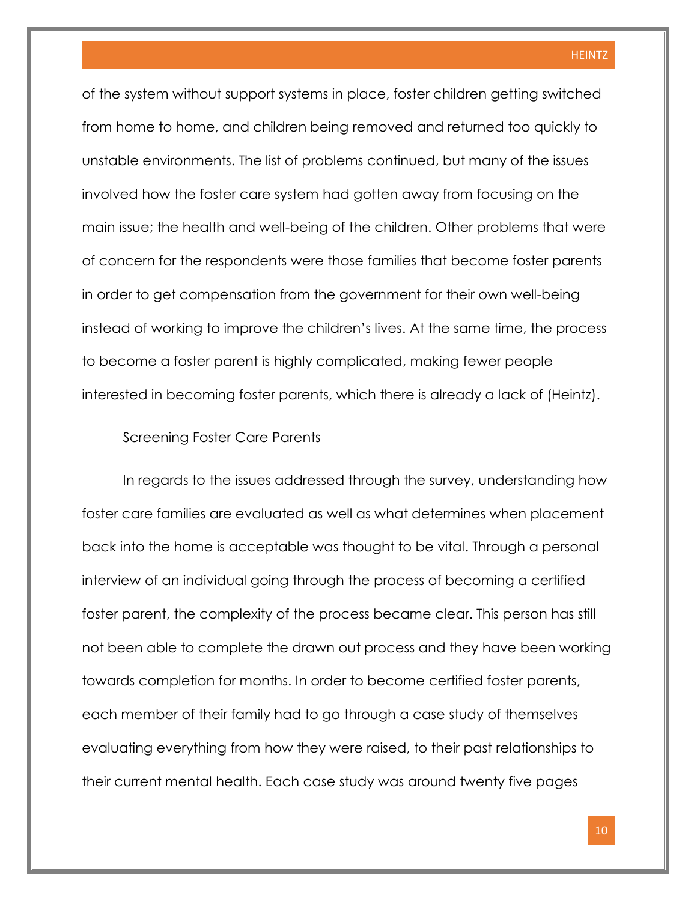of the system without support systems in place, foster children getting switched from home to home, and children being removed and returned too quickly to unstable environments. The list of problems continued, but many of the issues involved how the foster care system had gotten away from focusing on the main issue; the health and well-being of the children. Other problems that were of concern for the respondents were those families that become foster parents in order to get compensation from the government for their own well-being instead of working to improve the children's lives. At the same time, the process to become a foster parent is highly complicated, making fewer people interested in becoming foster parents, which there is already a lack of (Heintz).

#### Screening Foster Care Parents

In regards to the issues addressed through the survey, understanding how foster care families are evaluated as well as what determines when placement back into the home is acceptable was thought to be vital. Through a personal interview of an individual going through the process of becoming a certified foster parent, the complexity of the process became clear. This person has still not been able to complete the drawn out process and they have been working towards completion for months. In order to become certified foster parents, each member of their family had to go through a case study of themselves evaluating everything from how they were raised, to their past relationships to their current mental health. Each case study was around twenty five pages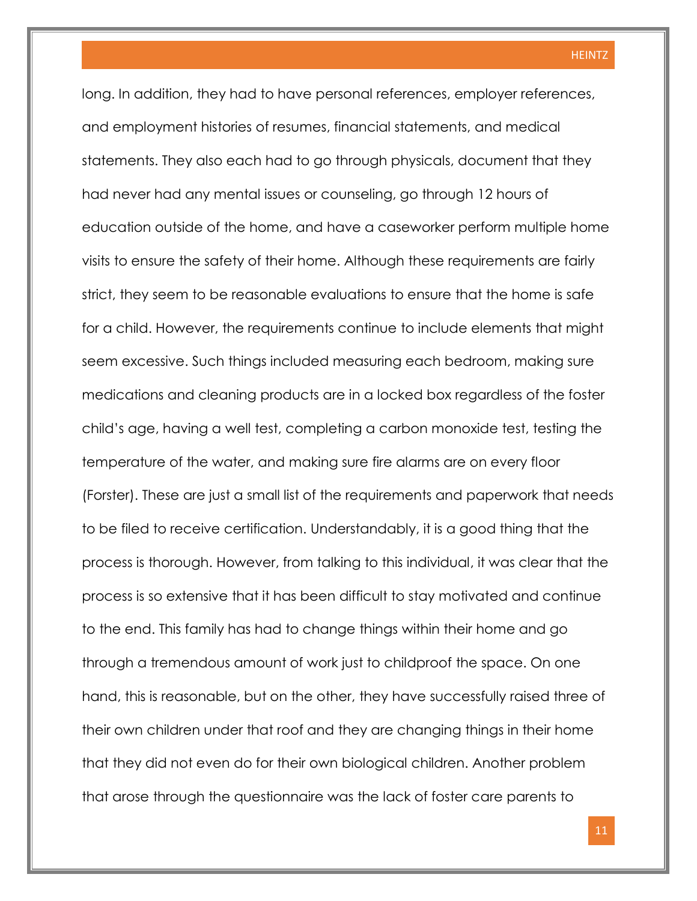long. In addition, they had to have personal references, employer references, and employment histories of resumes, financial statements, and medical statements. They also each had to go through physicals, document that they had never had any mental issues or counseling, go through 12 hours of education outside of the home, and have a caseworker perform multiple home visits to ensure the safety of their home. Although these requirements are fairly strict, they seem to be reasonable evaluations to ensure that the home is safe for a child. However, the requirements continue to include elements that might seem excessive. Such things included measuring each bedroom, making sure medications and cleaning products are in a locked box regardless of the foster child's age, having a well test, completing a carbon monoxide test, testing the temperature of the water, and making sure fire alarms are on every floor (Forster). These are just a small list of the requirements and paperwork that needs to be filed to receive certification. Understandably, it is a good thing that the process is thorough. However, from talking to this individual, it was clear that the process is so extensive that it has been difficult to stay motivated and continue to the end. This family has had to change things within their home and go through a tremendous amount of work just to childproof the space. On one hand, this is reasonable, but on the other, they have successfully raised three of their own children under that roof and they are changing things in their home that they did not even do for their own biological children. Another problem that arose through the questionnaire was the lack of foster care parents to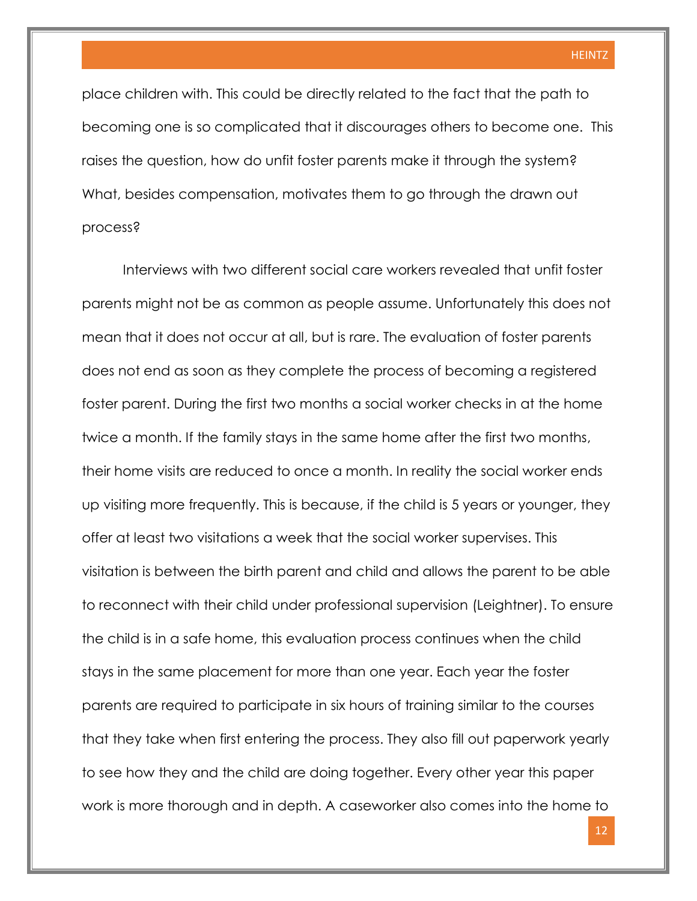place children with. This could be directly related to the fact that the path to becoming one is so complicated that it discourages others to become one. This raises the question, how do unfit foster parents make it through the system? What, besides compensation, motivates them to go through the drawn out process?

Interviews with two different social care workers revealed that unfit foster parents might not be as common as people assume. Unfortunately this does not mean that it does not occur at all, but is rare. The evaluation of foster parents does not end as soon as they complete the process of becoming a registered foster parent. During the first two months a social worker checks in at the home twice a month. If the family stays in the same home after the first two months, their home visits are reduced to once a month. In reality the social worker ends up visiting more frequently. This is because, if the child is 5 years or younger, they offer at least two visitations a week that the social worker supervises. This visitation is between the birth parent and child and allows the parent to be able to reconnect with their child under professional supervision (Leightner). To ensure the child is in a safe home, this evaluation process continues when the child stays in the same placement for more than one year. Each year the foster parents are required to participate in six hours of training similar to the courses that they take when first entering the process. They also fill out paperwork yearly to see how they and the child are doing together. Every other year this paper work is more thorough and in depth. A caseworker also comes into the home to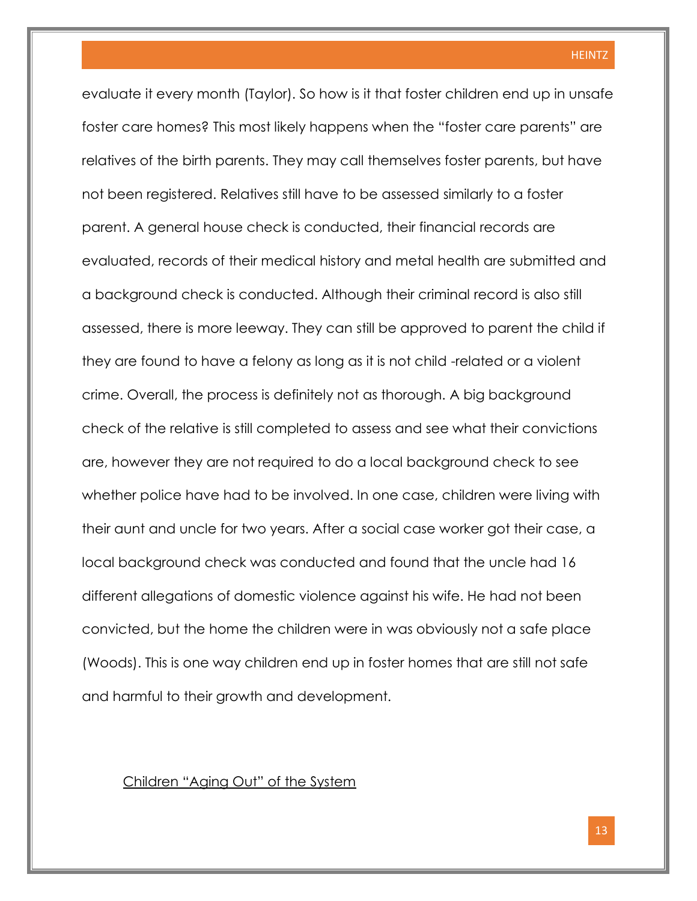evaluate it every month (Taylor). So how is it that foster children end up in unsafe foster care homes? This most likely happens when the "foster care parents" are relatives of the birth parents. They may call themselves foster parents, but have not been registered. Relatives still have to be assessed similarly to a foster parent. A general house check is conducted, their financial records are evaluated, records of their medical history and metal health are submitted and a background check is conducted. Although their criminal record is also still assessed, there is more leeway. They can still be approved to parent the child if they are found to have a felony as long as it is not child -related or a violent crime. Overall, the process is definitely not as thorough. A big background check of the relative is still completed to assess and see what their convictions are, however they are not required to do a local background check to see whether police have had to be involved. In one case, children were living with their aunt and uncle for two years. After a social case worker got their case, a local background check was conducted and found that the uncle had 16 different allegations of domestic violence against his wife. He had not been convicted, but the home the children were in was obviously not a safe place (Woods). This is one way children end up in foster homes that are still not safe and harmful to their growth and development.

#### Children "Aging Out" of the System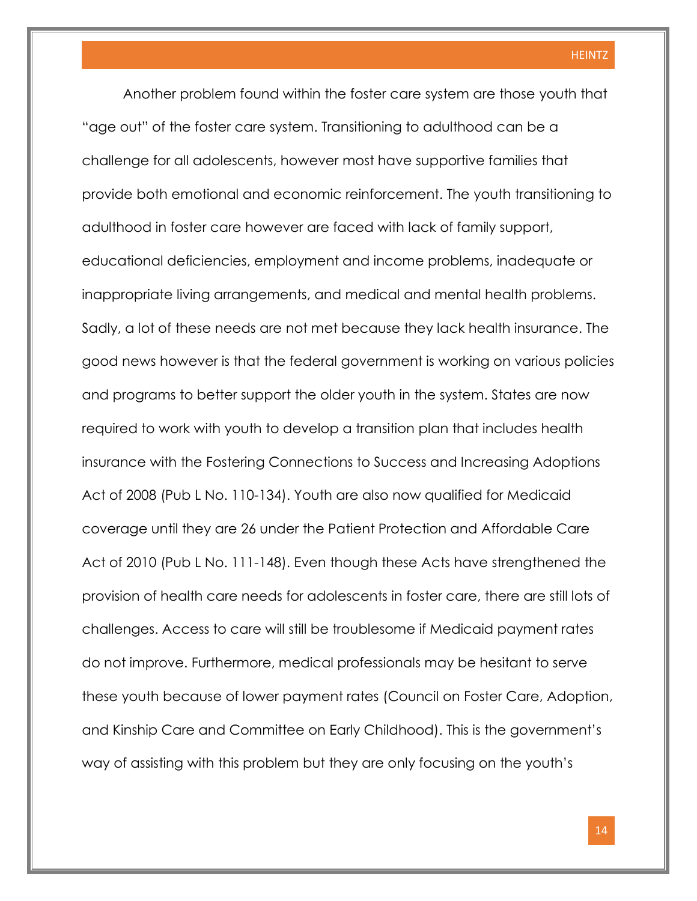Another problem found within the foster care system are those youth that "age out" of the foster care system. Transitioning to adulthood can be a challenge for all adolescents, however most have supportive families that provide both emotional and economic reinforcement. The youth transitioning to adulthood in foster care however are faced with lack of family support, educational deficiencies, employment and income problems, inadequate or inappropriate living arrangements, and medical and mental health problems. Sadly, a lot of these needs are not met because they lack health insurance. The good news however is that the federal government is working on various policies and programs to better support the older youth in the system. States are now required to work with youth to develop a transition plan that includes health insurance with the Fostering Connections to Success and Increasing Adoptions Act of 2008 (Pub L No. 110-134). Youth are also now qualified for Medicaid coverage until they are 26 under the Patient Protection and Affordable Care Act of 2010 (Pub L No. 111-148). Even though these Acts have strengthened the provision of health care needs for adolescents in foster care, there are still lots of challenges. Access to care will still be troublesome if Medicaid payment rates do not improve. Furthermore, medical professionals may be hesitant to serve these youth because of lower payment rates (Council on Foster Care, Adoption, and Kinship Care and Committee on Early Childhood). This is the government's way of assisting with this problem but they are only focusing on the youth's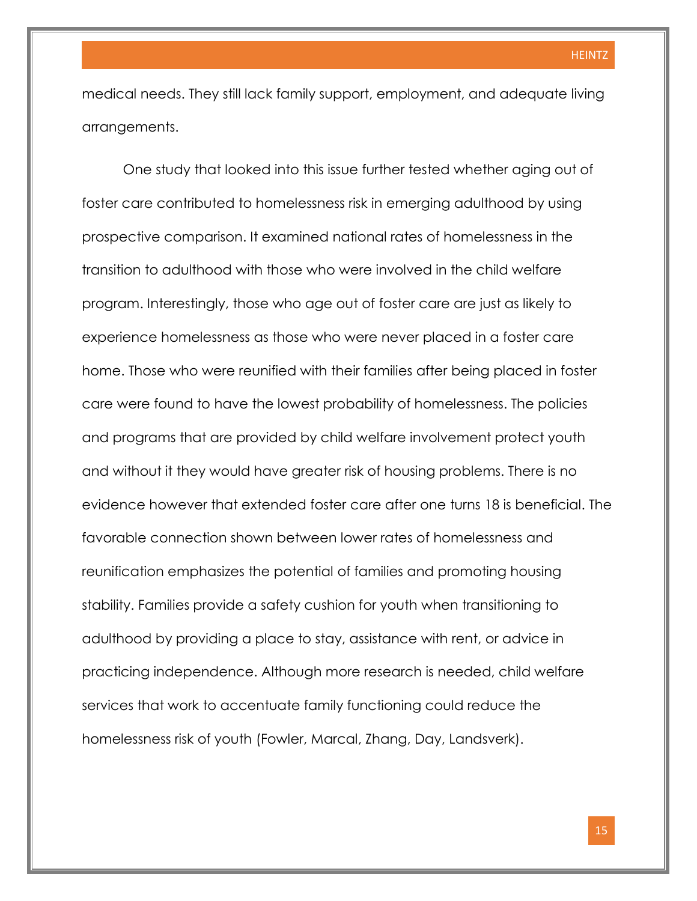medical needs. They still lack family support, employment, and adequate living arrangements.

One study that looked into this issue further tested whether aging out of foster care contributed to homelessness risk in emerging adulthood by using prospective comparison. It examined national rates of homelessness in the transition to adulthood with those who were involved in the child welfare program. Interestingly, those who age out of foster care are just as likely to experience homelessness as those who were never placed in a foster care home. Those who were reunified with their families after being placed in foster care were found to have the lowest probability of homelessness. The policies and programs that are provided by child welfare involvement protect youth and without it they would have greater risk of housing problems. There is no evidence however that extended foster care after one turns 18 is beneficial. The favorable connection shown between lower rates of homelessness and reunification emphasizes the potential of families and promoting housing stability. Families provide a safety cushion for youth when transitioning to adulthood by providing a place to stay, assistance with rent, or advice in practicing independence. Although more research is needed, child welfare services that work to accentuate family functioning could reduce the homelessness risk of youth (Fowler, Marcal, Zhang, Day, Landsverk).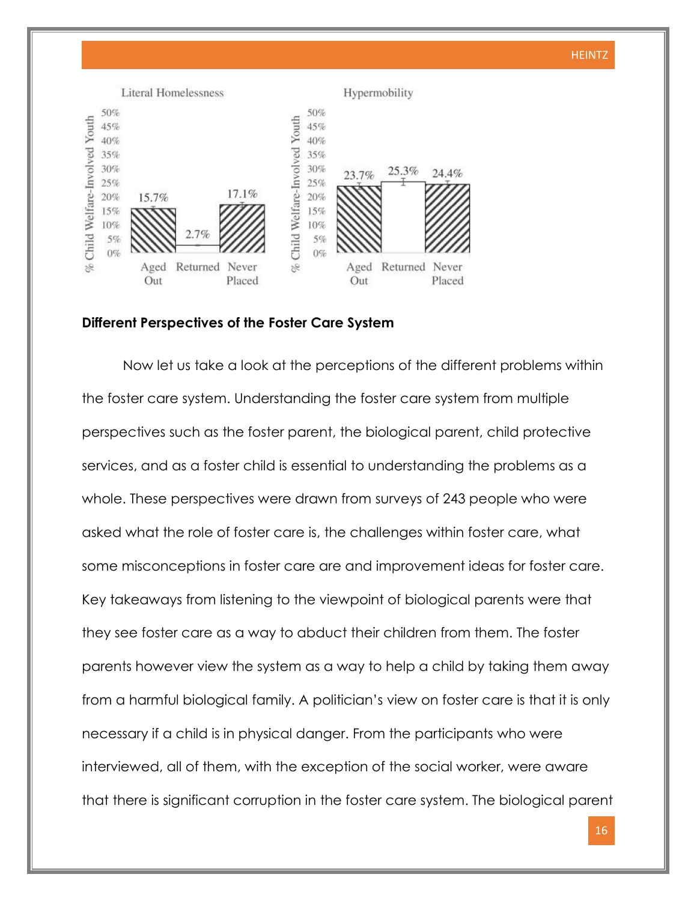

#### **Different Perspectives of the Foster Care System**

Now let us take a look at the perceptions of the different problems within the foster care system. Understanding the foster care system from multiple perspectives such as the foster parent, the biological parent, child protective services, and as a foster child is essential to understanding the problems as a whole. These perspectives were drawn from surveys of 243 people who were asked what the role of foster care is, the challenges within foster care, what some misconceptions in foster care are and improvement ideas for foster care. Key takeaways from listening to the viewpoint of biological parents were that they see foster care as a way to abduct their children from them. The foster parents however view the system as a way to help a child by taking them away from a harmful biological family. A politician's view on foster care is that it is only necessary if a child is in physical danger. From the participants who were interviewed, all of them, with the exception of the social worker, were aware that there is significant corruption in the foster care system. The biological parent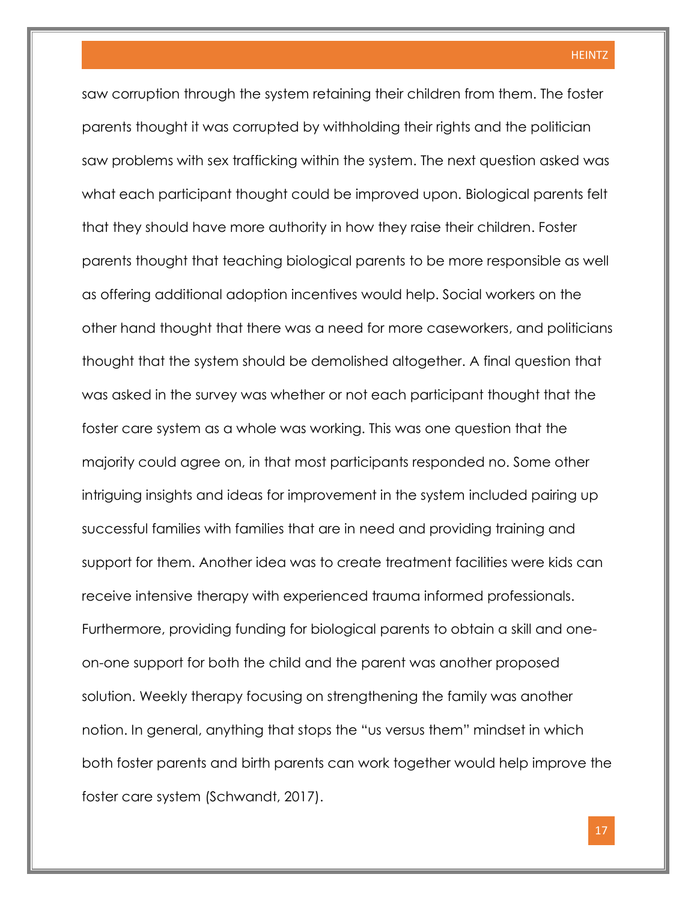saw corruption through the system retaining their children from them. The foster parents thought it was corrupted by withholding their rights and the politician saw problems with sex trafficking within the system. The next question asked was what each participant thought could be improved upon. Biological parents felt that they should have more authority in how they raise their children. Foster parents thought that teaching biological parents to be more responsible as well as offering additional adoption incentives would help. Social workers on the other hand thought that there was a need for more caseworkers, and politicians thought that the system should be demolished altogether. A final question that was asked in the survey was whether or not each participant thought that the foster care system as a whole was working. This was one question that the majority could agree on, in that most participants responded no. Some other intriguing insights and ideas for improvement in the system included pairing up successful families with families that are in need and providing training and support for them. Another idea was to create treatment facilities were kids can receive intensive therapy with experienced trauma informed professionals. Furthermore, providing funding for biological parents to obtain a skill and oneon-one support for both the child and the parent was another proposed solution. Weekly therapy focusing on strengthening the family was another notion. In general, anything that stops the "us versus them" mindset in which both foster parents and birth parents can work together would help improve the foster care system (Schwandt, 2017).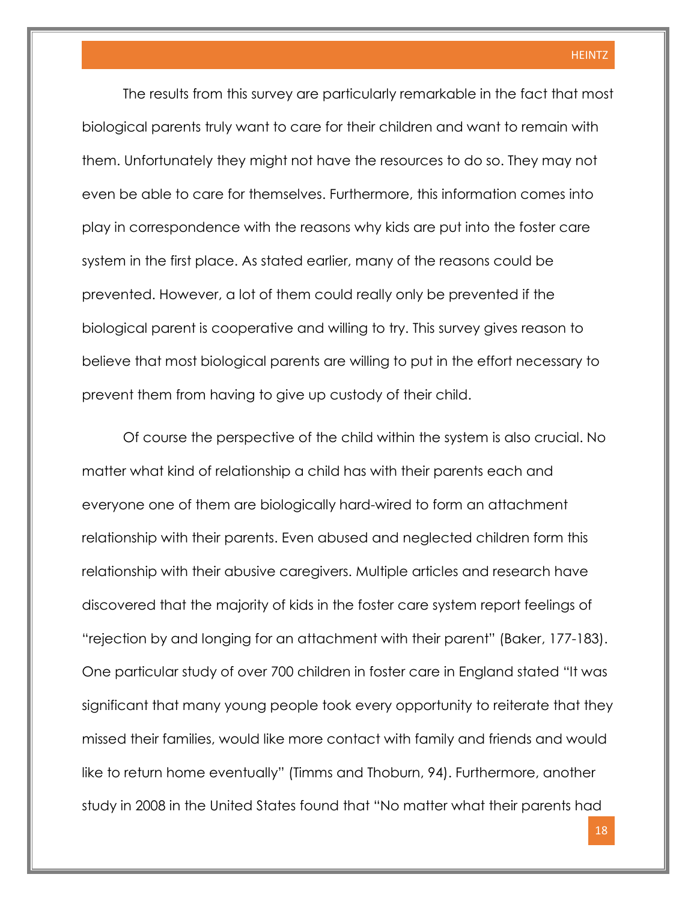The results from this survey are particularly remarkable in the fact that most biological parents truly want to care for their children and want to remain with them. Unfortunately they might not have the resources to do so. They may not even be able to care for themselves. Furthermore, this information comes into play in correspondence with the reasons why kids are put into the foster care system in the first place. As stated earlier, many of the reasons could be prevented. However, a lot of them could really only be prevented if the biological parent is cooperative and willing to try. This survey gives reason to believe that most biological parents are willing to put in the effort necessary to prevent them from having to give up custody of their child.

Of course the perspective of the child within the system is also crucial. No matter what kind of relationship a child has with their parents each and everyone one of them are biologically hard-wired to form an attachment relationship with their parents. Even abused and neglected children form this relationship with their abusive caregivers. Multiple articles and research have discovered that the majority of kids in the foster care system report feelings of "rejection by and longing for an attachment with their parent" (Baker, 177-183). One particular study of over 700 children in foster care in England stated "It was significant that many young people took every opportunity to reiterate that they missed their families, would like more contact with family and friends and would like to return home eventually" (Timms and Thoburn, 94). Furthermore, another study in 2008 in the United States found that "No matter what their parents had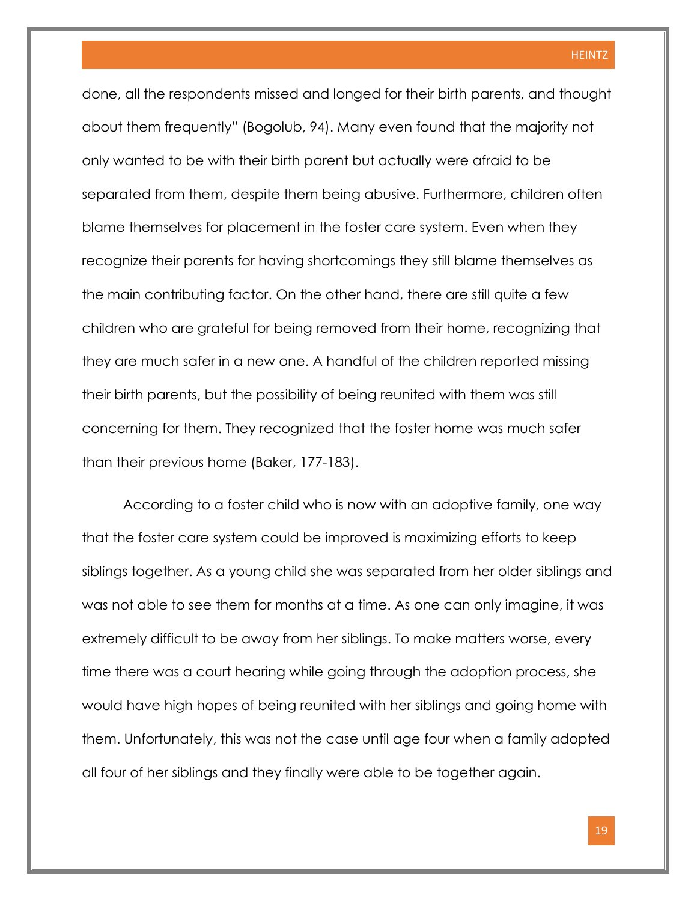done, all the respondents missed and longed for their birth parents, and thought about them frequently" (Bogolub, 94). Many even found that the majority not only wanted to be with their birth parent but actually were afraid to be separated from them, despite them being abusive. Furthermore, children often blame themselves for placement in the foster care system. Even when they recognize their parents for having shortcomings they still blame themselves as the main contributing factor. On the other hand, there are still quite a few children who are grateful for being removed from their home, recognizing that they are much safer in a new one. A handful of the children reported missing their birth parents, but the possibility of being reunited with them was still concerning for them. They recognized that the foster home was much safer than their previous home (Baker, 177-183).

According to a foster child who is now with an adoptive family, one way that the foster care system could be improved is maximizing efforts to keep siblings together. As a young child she was separated from her older siblings and was not able to see them for months at a time. As one can only imagine, it was extremely difficult to be away from her siblings. To make matters worse, every time there was a court hearing while going through the adoption process, she would have high hopes of being reunited with her siblings and going home with them. Unfortunately, this was not the case until age four when a family adopted all four of her siblings and they finally were able to be together again.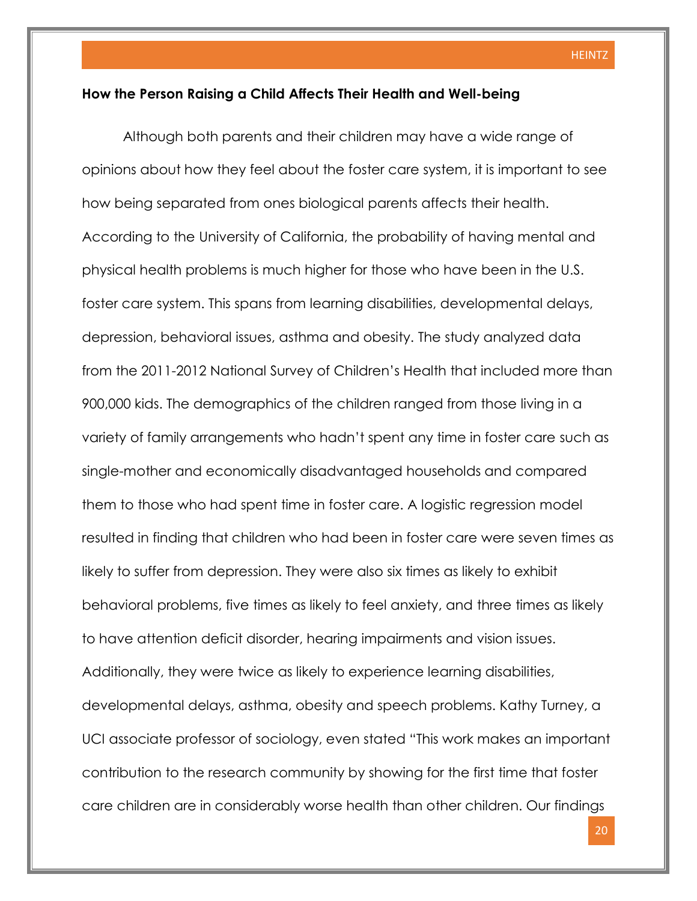#### **How the Person Raising a Child Affects Their Health and Well-being**

Although both parents and their children may have a wide range of opinions about how they feel about the foster care system, it is important to see how being separated from ones biological parents affects their health. According to the University of California, the probability of having mental and physical health problems is much higher for those who have been in the U.S. foster care system. This spans from learning disabilities, developmental delays, depression, behavioral issues, asthma and obesity. The study analyzed data from the 2011-2012 National Survey of Children's Health that included more than 900,000 kids. The demographics of the children ranged from those living in a variety of family arrangements who hadn't spent any time in foster care such as single-mother and economically disadvantaged households and compared them to those who had spent time in foster care. A logistic regression model resulted in finding that children who had been in foster care were seven times as likely to suffer from depression. They were also six times as likely to exhibit behavioral problems, five times as likely to feel anxiety, and three times as likely to have attention deficit disorder, hearing impairments and vision issues. Additionally, they were twice as likely to experience learning disabilities, developmental delays, asthma, obesity and speech problems. Kathy Turney, a UCI associate professor of sociology, even stated "This work makes an important contribution to the research community by showing for the first time that foster care children are in considerably worse health than other children. Our findings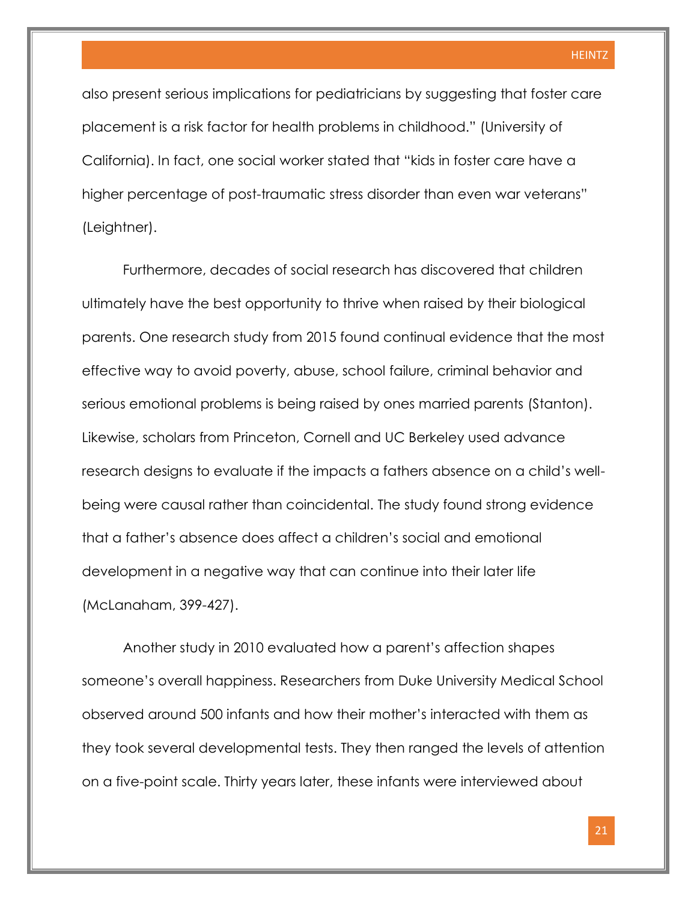also present serious implications for pediatricians by suggesting that foster care placement is a risk factor for health problems in childhood." (University of California). In fact, one social worker stated that "kids in foster care have a higher percentage of post-traumatic stress disorder than even war veterans" (Leightner).

Furthermore, decades of social research has discovered that children ultimately have the best opportunity to thrive when raised by their biological parents. One research study from 2015 found continual evidence that the most effective way to avoid poverty, abuse, school failure, criminal behavior and serious emotional problems is being raised by ones married parents (Stanton). Likewise, scholars from Princeton, Cornell and UC Berkeley used advance research designs to evaluate if the impacts a fathers absence on a child's wellbeing were causal rather than coincidental. The study found strong evidence that a father's absence does affect a children's social and emotional development in a negative way that can continue into their later life (McLanaham, 399-427).

Another study in 2010 evaluated how a parent's affection shapes someone's overall happiness. Researchers from Duke University Medical School observed around 500 infants and how their mother's interacted with them as they took several developmental tests. They then ranged the levels of attention on a five-point scale. Thirty years later, these infants were interviewed about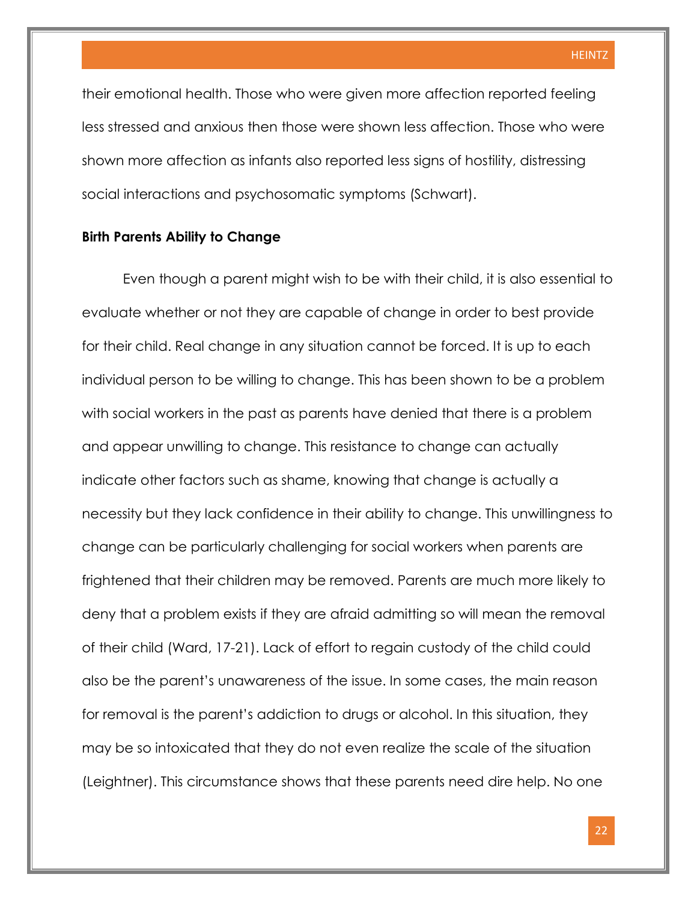their emotional health. Those who were given more affection reported feeling less stressed and anxious then those were shown less affection. Those who were shown more affection as infants also reported less signs of hostility, distressing social interactions and psychosomatic symptoms (Schwart).

#### **Birth Parents Ability to Change**

Even though a parent might wish to be with their child, it is also essential to evaluate whether or not they are capable of change in order to best provide for their child. Real change in any situation cannot be forced. It is up to each individual person to be willing to change. This has been shown to be a problem with social workers in the past as parents have denied that there is a problem and appear unwilling to change. This resistance to change can actually indicate other factors such as shame, knowing that change is actually a necessity but they lack confidence in their ability to change. This unwillingness to change can be particularly challenging for social workers when parents are frightened that their children may be removed. Parents are much more likely to deny that a problem exists if they are afraid admitting so will mean the removal of their child (Ward, 17-21). Lack of effort to regain custody of the child could also be the parent's unawareness of the issue. In some cases, the main reason for removal is the parent's addiction to drugs or alcohol. In this situation, they may be so intoxicated that they do not even realize the scale of the situation (Leightner). This circumstance shows that these parents need dire help. No one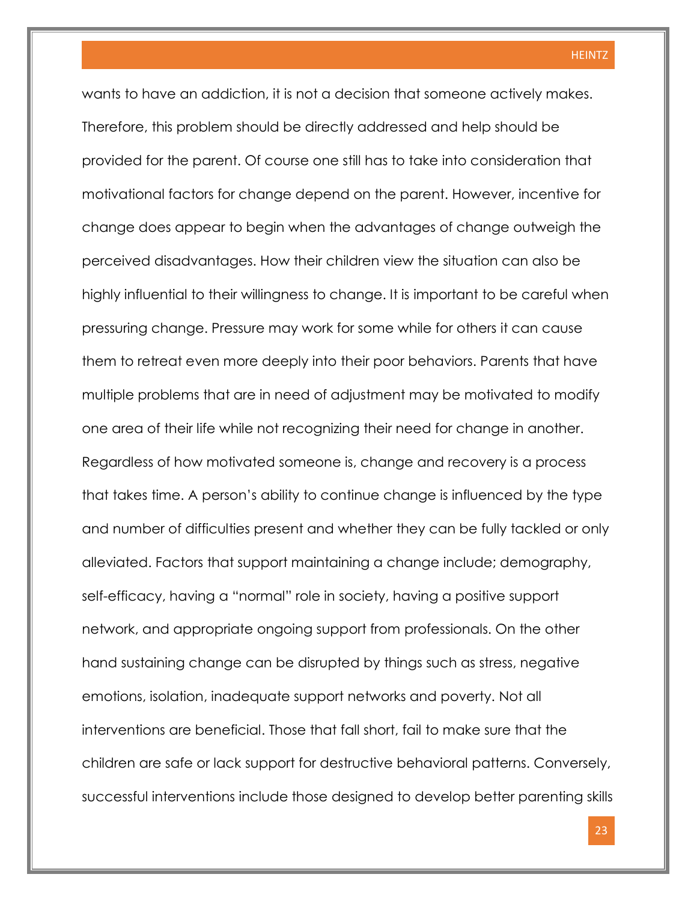wants to have an addiction, it is not a decision that someone actively makes. Therefore, this problem should be directly addressed and help should be provided for the parent. Of course one still has to take into consideration that motivational factors for change depend on the parent. However, incentive for change does appear to begin when the advantages of change outweigh the perceived disadvantages. How their children view the situation can also be highly influential to their willingness to change. It is important to be careful when pressuring change. Pressure may work for some while for others it can cause them to retreat even more deeply into their poor behaviors. Parents that have multiple problems that are in need of adjustment may be motivated to modify one area of their life while not recognizing their need for change in another. Regardless of how motivated someone is, change and recovery is a process that takes time. A person's ability to continue change is influenced by the type and number of difficulties present and whether they can be fully tackled or only alleviated. Factors that support maintaining a change include; demography, self-efficacy, having a "normal" role in society, having a positive support network, and appropriate ongoing support from professionals. On the other hand sustaining change can be disrupted by things such as stress, negative emotions, isolation, inadequate support networks and poverty. Not all interventions are beneficial. Those that fall short, fail to make sure that the children are safe or lack support for destructive behavioral patterns. Conversely, successful interventions include those designed to develop better parenting skills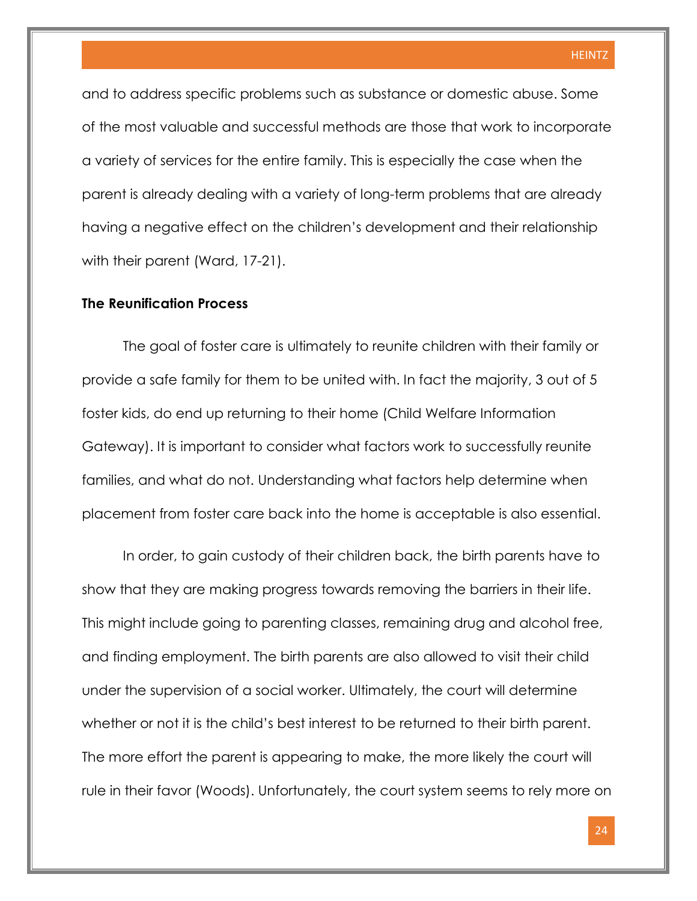and to address specific problems such as substance or domestic abuse. Some of the most valuable and successful methods are those that work to incorporate a variety of services for the entire family. This is especially the case when the parent is already dealing with a variety of long-term problems that are already having a negative effect on the children's development and their relationship with their parent (Ward, 17-21).

#### **The Reunification Process**

The goal of foster care is ultimately to reunite children with their family or provide a safe family for them to be united with. In fact the majority, 3 out of 5 foster kids, do end up returning to their home (Child Welfare Information Gateway). It is important to consider what factors work to successfully reunite families, and what do not. Understanding what factors help determine when placement from foster care back into the home is acceptable is also essential.

In order, to gain custody of their children back, the birth parents have to show that they are making progress towards removing the barriers in their life. This might include going to parenting classes, remaining drug and alcohol free, and finding employment. The birth parents are also allowed to visit their child under the supervision of a social worker. Ultimately, the court will determine whether or not it is the child's best interest to be returned to their birth parent. The more effort the parent is appearing to make, the more likely the court will rule in their favor (Woods). Unfortunately, the court system seems to rely more on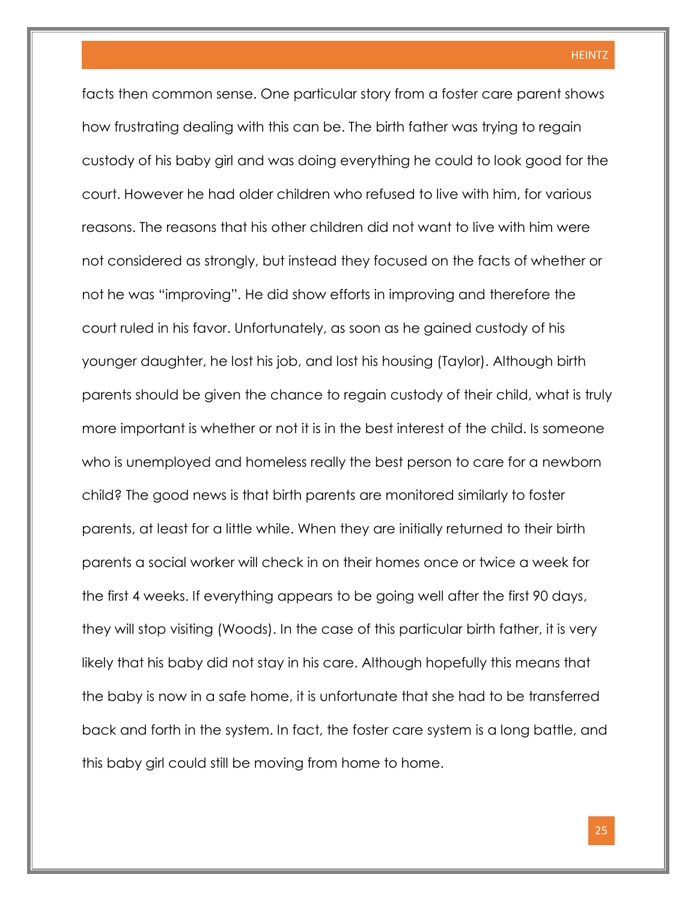facts then common sense. One particular story from a foster care parent shows how frustrating dealing with this can be. The birth father was trying to regain custody of his baby girl and was doing everything he could to look good for the court. However he had older children who refused to live with him, for various reasons. The reasons that his other children did not want to live with him were not considered as strongly, but instead they focused on the facts of whether or not he was "improving". He did show efforts in improving and therefore the court ruled in his favor. Unfortunately, as soon as he gained custody of his younger daughter, he lost his job, and lost his housing (Taylor). Although birth parents should be given the chance to regain custody of their child, what is truly more important is whether or not it is in the best interest of the child. Is someone who is unemployed and homeless really the best person to care for a newborn child? The good news is that birth parents are monitored similarly to foster parents, at least for a little while. When they are initially returned to their birth parents a social worker will check in on their homes once or twice a week for the first 4 weeks. If everything appears to be going well after the first 90 days, they will stop visiting (Woods). In the case of this particular birth father, it is very likely that his baby did not stay in his care. Although hopefully this means that the baby is now in a safe home, it is unfortunate that she had to be transferred back and forth in the system. In fact, the foster care system is a long battle, and this baby girl could still be moving from home to home.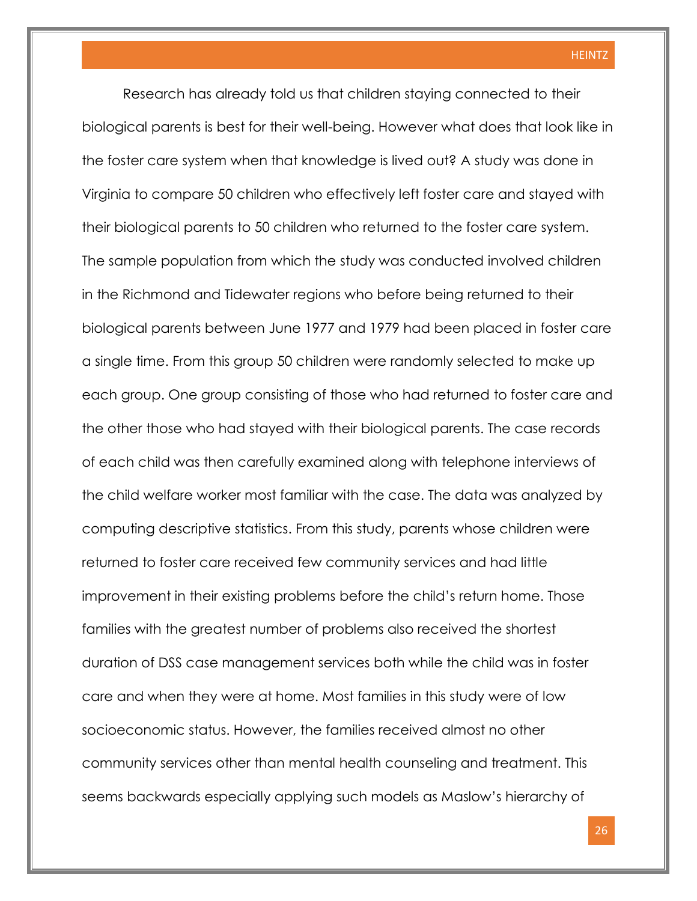Research has already told us that children staying connected to their biological parents is best for their well-being. However what does that look like in the foster care system when that knowledge is lived out? A study was done in Virginia to compare 50 children who effectively left foster care and stayed with their biological parents to 50 children who returned to the foster care system. The sample population from which the study was conducted involved children in the Richmond and Tidewater regions who before being returned to their biological parents between June 1977 and 1979 had been placed in foster care a single time. From this group 50 children were randomly selected to make up each group. One group consisting of those who had returned to foster care and the other those who had stayed with their biological parents. The case records of each child was then carefully examined along with telephone interviews of the child welfare worker most familiar with the case. The data was analyzed by computing descriptive statistics. From this study, parents whose children were returned to foster care received few community services and had little improvement in their existing problems before the child's return home. Those families with the greatest number of problems also received the shortest duration of DSS case management services both while the child was in foster care and when they were at home. Most families in this study were of low socioeconomic status. However, the families received almost no other community services other than mental health counseling and treatment. This seems backwards especially applying such models as Maslow's hierarchy of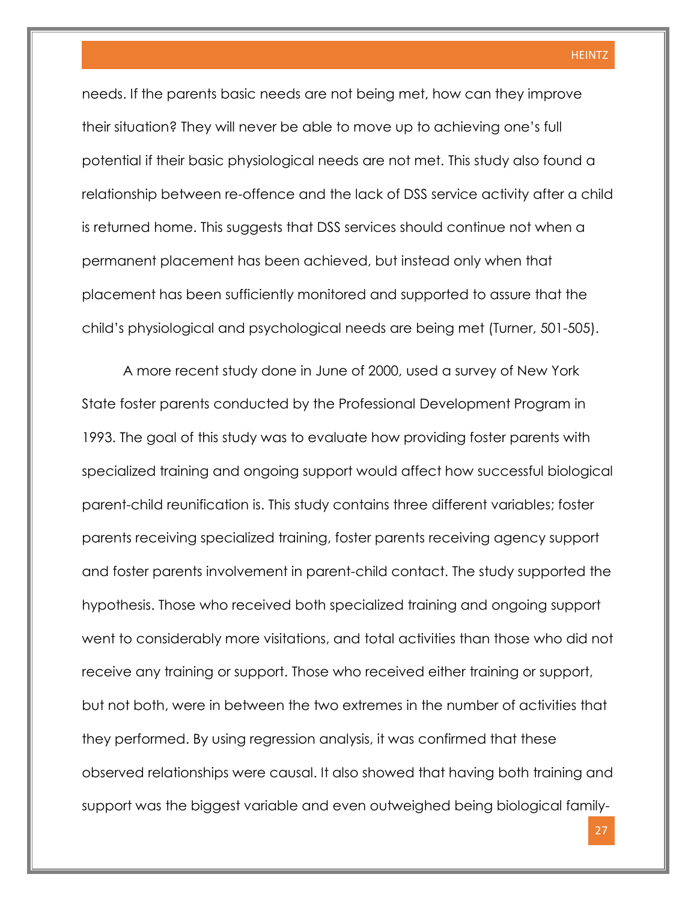needs. If the parents basic needs are not being met, how can they improve their situation? They will never be able to move up to achieving one's full potential if their basic physiological needs are not met. This study also found a relationship between re-offence and the lack of DSS service activity after a child is returned home. This suggests that DSS services should continue not when a permanent placement has been achieved, but instead only when that placement has been sufficiently monitored and supported to assure that the child's physiological and psychological needs are being met (Turner, 501-505).

A more recent study done in June of 2000, used a survey of New York State foster parents conducted by the Professional Development Program in 1993. The goal of this study was to evaluate how providing foster parents with specialized training and ongoing support would affect how successful biological parent-child reunification is. This study contains three different variables; foster parents receiving specialized training, foster parents receiving agency support and foster parents involvement in parent-child contact. The study supported the hypothesis. Those who received both specialized training and ongoing support went to considerably more visitations, and total activities than those who did not receive any training or support. Those who received either training or support, but not both, were in between the two extremes in the number of activities that they performed. By using regression analysis, it was confirmed that these observed relationships were causal. It also showed that having both training and support was the biggest variable and even outweighed being biological family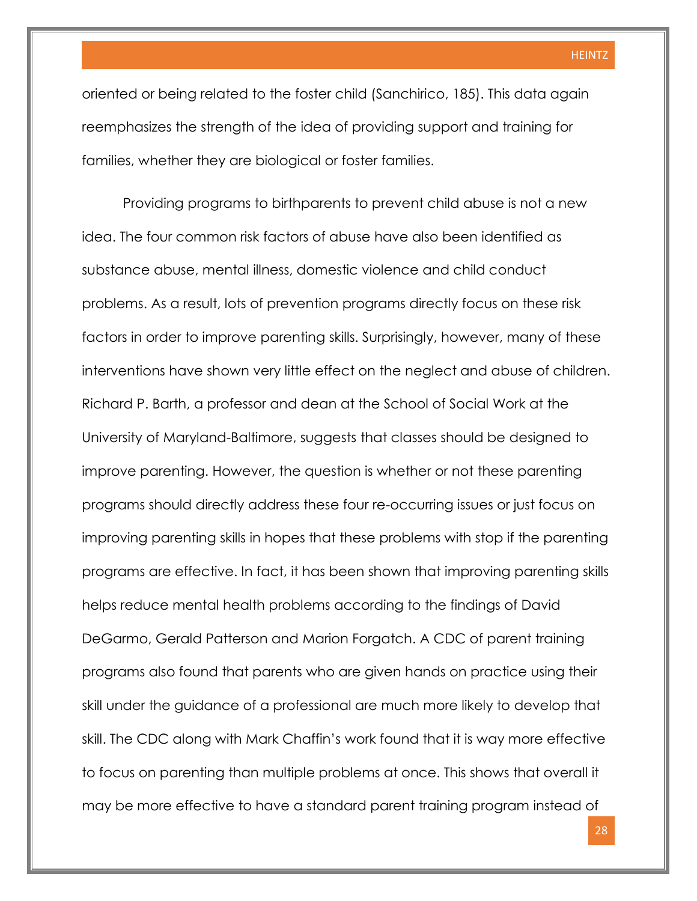oriented or being related to the foster child (Sanchirico, 185). This data again reemphasizes the strength of the idea of providing support and training for families, whether they are biological or foster families.

Providing programs to birthparents to prevent child abuse is not a new idea. The four common risk factors of abuse have also been identified as substance abuse, mental illness, domestic violence and child conduct problems. As a result, lots of prevention programs directly focus on these risk factors in order to improve parenting skills. Surprisingly, however, many of these interventions have shown very little effect on the neglect and abuse of children. Richard P. Barth, a professor and dean at the School of Social Work at the University of Maryland-Baltimore, suggests that classes should be designed to improve parenting. However, the question is whether or not these parenting programs should directly address these four re-occurring issues or just focus on improving parenting skills in hopes that these problems with stop if the parenting programs are effective. In fact, it has been shown that improving parenting skills helps reduce mental health problems according to the findings of David DeGarmo, Gerald Patterson and Marion Forgatch. A CDC of parent training programs also found that parents who are given hands on practice using their skill under the guidance of a professional are much more likely to develop that skill. The CDC along with Mark Chaffin's work found that it is way more effective to focus on parenting than multiple problems at once. This shows that overall it may be more effective to have a standard parent training program instead of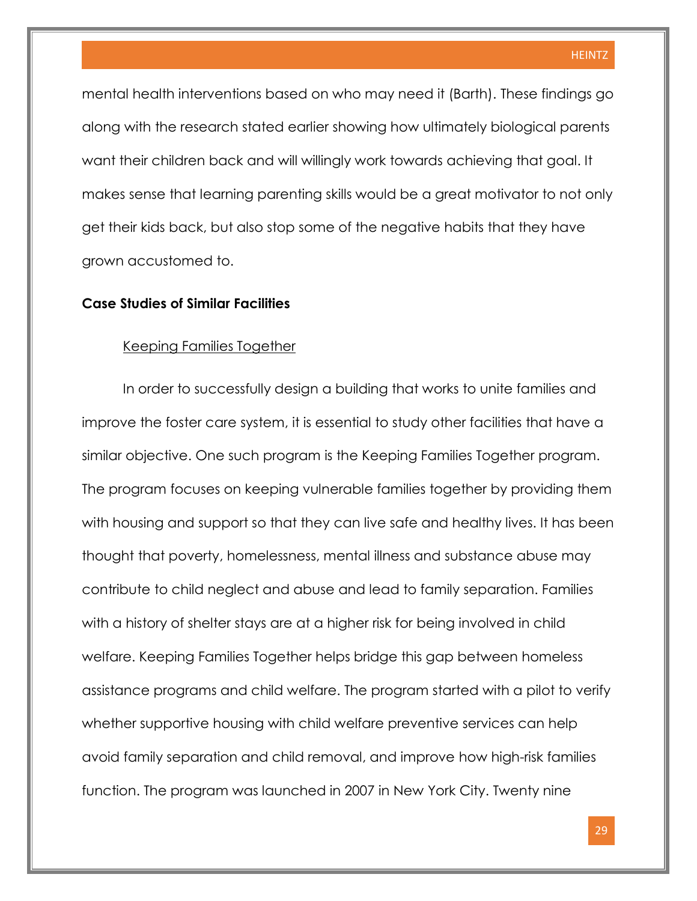mental health interventions based on who may need it (Barth). These findings go along with the research stated earlier showing how ultimately biological parents want their children back and will willingly work towards achieving that goal. It makes sense that learning parenting skills would be a great motivator to not only get their kids back, but also stop some of the negative habits that they have grown accustomed to.

#### **Case Studies of Similar Facilities**

#### Keeping Families Together

In order to successfully design a building that works to unite families and improve the foster care system, it is essential to study other facilities that have a similar objective. One such program is the Keeping Families Together program. The program focuses on keeping vulnerable families together by providing them with housing and support so that they can live safe and healthy lives. It has been thought that poverty, homelessness, mental illness and substance abuse may contribute to child neglect and abuse and lead to family separation. Families with a history of shelter stays are at a higher risk for being involved in child welfare. Keeping Families Together helps bridge this gap between homeless assistance programs and child welfare. The program started with a pilot to verify whether supportive housing with child welfare preventive services can help avoid family separation and child removal, and improve how high-risk families function. The program was launched in 2007 in New York City. Twenty nine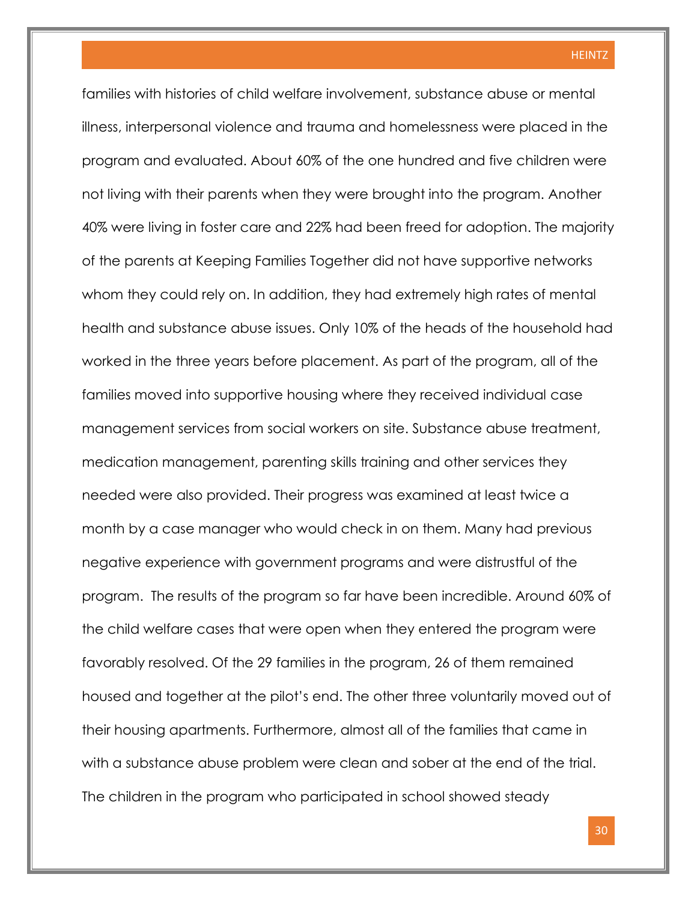families with histories of child welfare involvement, substance abuse or mental illness, interpersonal violence and trauma and homelessness were placed in the program and evaluated. About 60% of the one hundred and five children were not living with their parents when they were brought into the program. Another 40% were living in foster care and 22% had been freed for adoption. The majority of the parents at Keeping Families Together did not have supportive networks whom they could rely on. In addition, they had extremely high rates of mental health and substance abuse issues. Only 10% of the heads of the household had worked in the three years before placement. As part of the program, all of the families moved into supportive housing where they received individual case management services from social workers on site. Substance abuse treatment, medication management, parenting skills training and other services they needed were also provided. Their progress was examined at least twice a month by a case manager who would check in on them. Many had previous negative experience with government programs and were distrustful of the program. The results of the program so far have been incredible. Around 60% of the child welfare cases that were open when they entered the program were favorably resolved. Of the 29 families in the program, 26 of them remained housed and together at the pilot's end. The other three voluntarily moved out of their housing apartments. Furthermore, almost all of the families that came in with a substance abuse problem were clean and sober at the end of the trial. The children in the program who participated in school showed steady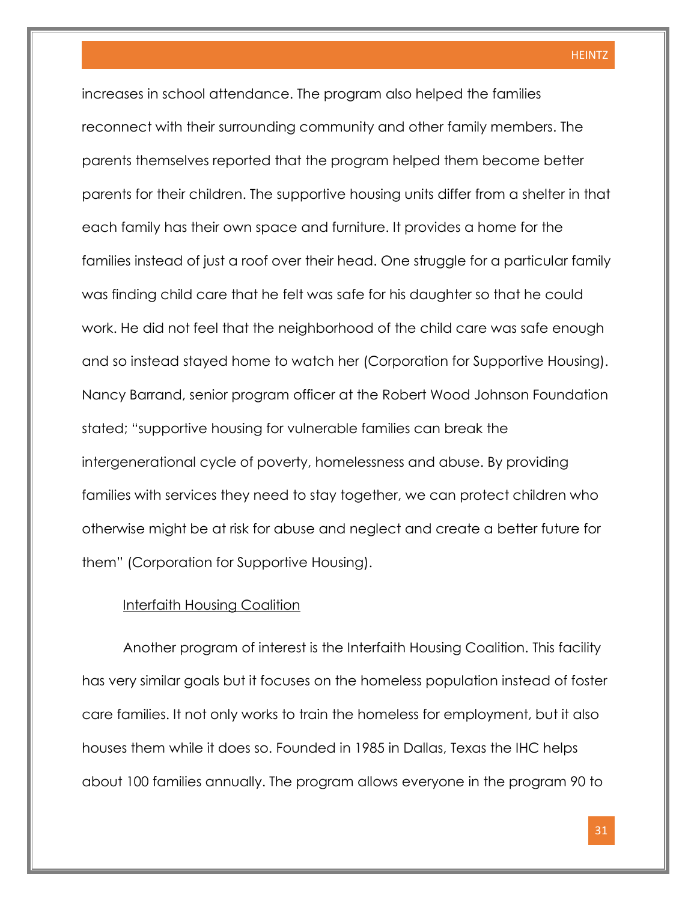increases in school attendance. The program also helped the families reconnect with their surrounding community and other family members. The parents themselves reported that the program helped them become better parents for their children. The supportive housing units differ from a shelter in that each family has their own space and furniture. It provides a home for the families instead of just a roof over their head. One struggle for a particular family was finding child care that he felt was safe for his daughter so that he could work. He did not feel that the neighborhood of the child care was safe enough and so instead stayed home to watch her (Corporation for Supportive Housing). Nancy Barrand, senior program officer at the Robert Wood Johnson Foundation stated; "supportive housing for vulnerable families can break the intergenerational cycle of poverty, homelessness and abuse. By providing families with services they need to stay together, we can protect children who otherwise might be at risk for abuse and neglect and create a better future for them" (Corporation for Supportive Housing).

#### Interfaith Housing Coalition

Another program of interest is the Interfaith Housing Coalition. This facility has very similar goals but it focuses on the homeless population instead of foster care families. It not only works to train the homeless for employment, but it also houses them while it does so. Founded in 1985 in Dallas, Texas the IHC helps about 100 families annually. The program allows everyone in the program 90 to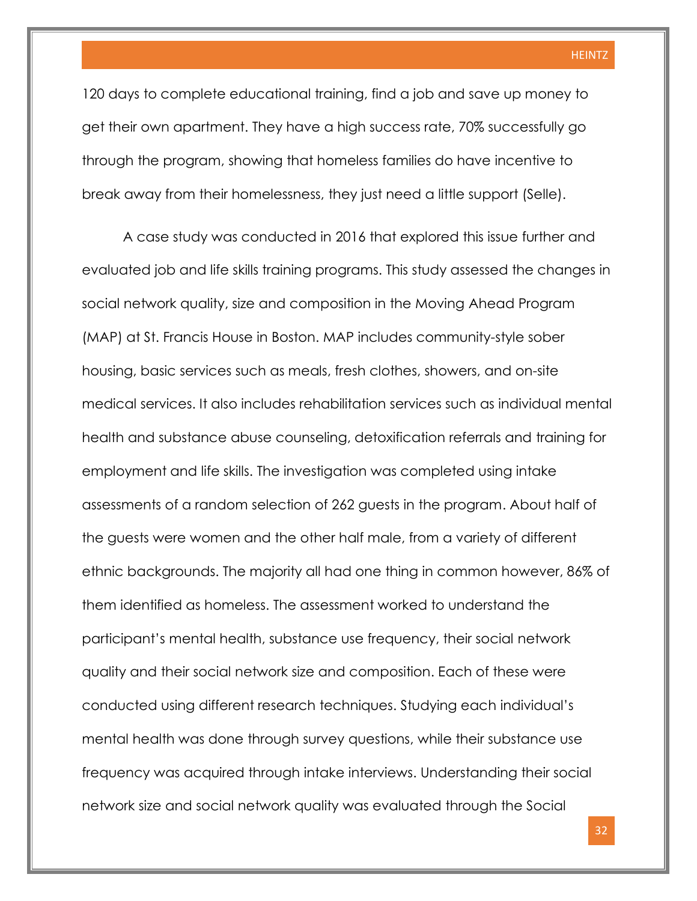120 days to complete educational training, find a job and save up money to get their own apartment. They have a high success rate, 70% successfully go through the program, showing that homeless families do have incentive to break away from their homelessness, they just need a little support (Selle).

A case study was conducted in 2016 that explored this issue further and evaluated job and life skills training programs. This study assessed the changes in social network quality, size and composition in the Moving Ahead Program (MAP) at St. Francis House in Boston. MAP includes community-style sober housing, basic services such as meals, fresh clothes, showers, and on-site medical services. It also includes rehabilitation services such as individual mental health and substance abuse counseling, detoxification referrals and training for employment and life skills. The investigation was completed using intake assessments of a random selection of 262 guests in the program. About half of the guests were women and the other half male, from a variety of different ethnic backgrounds. The majority all had one thing in common however, 86% of them identified as homeless. The assessment worked to understand the participant's mental health, substance use frequency, their social network quality and their social network size and composition. Each of these were conducted using different research techniques. Studying each individual's mental health was done through survey questions, while their substance use frequency was acquired through intake interviews. Understanding their social network size and social network quality was evaluated through the Social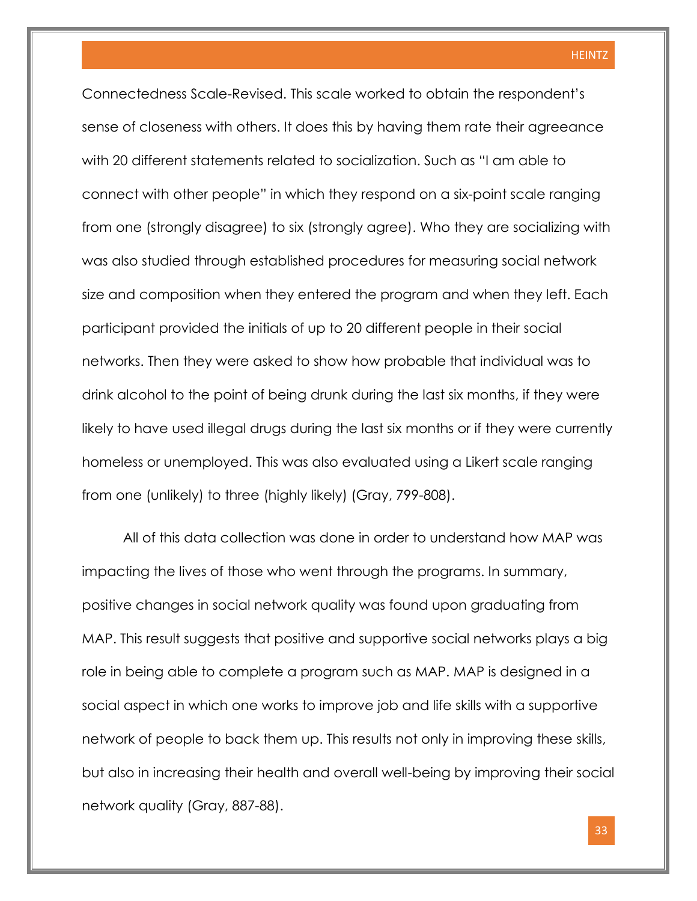Connectedness Scale-Revised. This scale worked to obtain the respondent's sense of closeness with others. It does this by having them rate their agreeance with 20 different statements related to socialization. Such as "I am able to connect with other people" in which they respond on a six-point scale ranging from one (strongly disagree) to six (strongly agree). Who they are socializing with was also studied through established procedures for measuring social network size and composition when they entered the program and when they left. Each participant provided the initials of up to 20 different people in their social networks. Then they were asked to show how probable that individual was to drink alcohol to the point of being drunk during the last six months, if they were likely to have used illegal drugs during the last six months or if they were currently homeless or unemployed. This was also evaluated using a Likert scale ranging from one (unlikely) to three (highly likely) (Gray, 799-808).

All of this data collection was done in order to understand how MAP was impacting the lives of those who went through the programs. In summary, positive changes in social network quality was found upon graduating from MAP. This result suggests that positive and supportive social networks plays a big role in being able to complete a program such as MAP. MAP is designed in a social aspect in which one works to improve job and life skills with a supportive network of people to back them up. This results not only in improving these skills, but also in increasing their health and overall well-being by improving their social network quality (Gray, 887-88).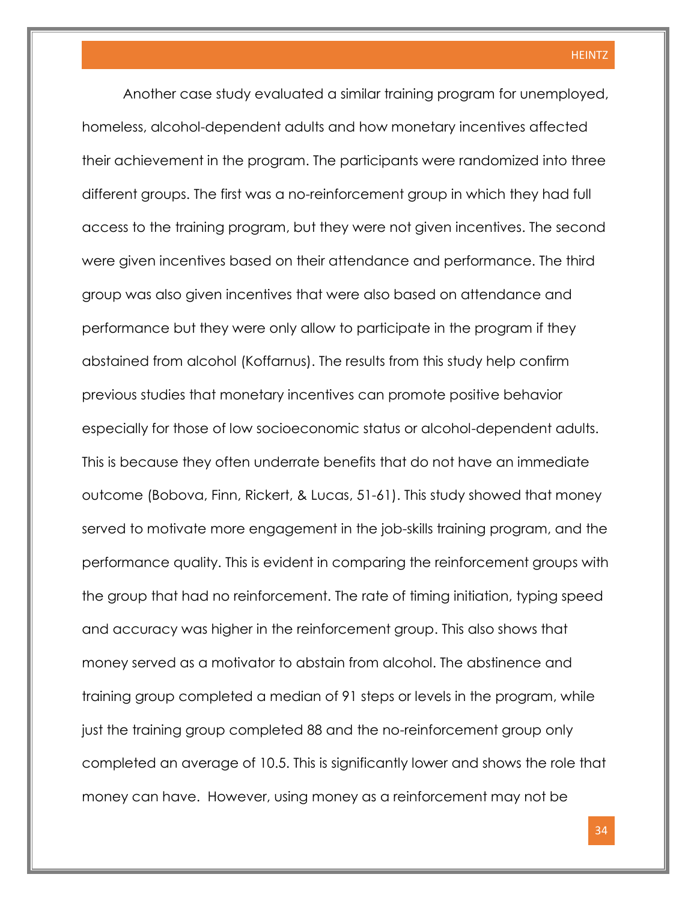Another case study evaluated a similar training program for unemployed, homeless, alcohol-dependent adults and how monetary incentives affected their achievement in the program. The participants were randomized into three different groups. The first was a no-reinforcement group in which they had full access to the training program, but they were not given incentives. The second were given incentives based on their attendance and performance. The third group was also given incentives that were also based on attendance and performance but they were only allow to participate in the program if they abstained from alcohol (Koffarnus). The results from this study help confirm previous studies that monetary incentives can promote positive behavior especially for those of low socioeconomic status or alcohol-dependent adults. This is because they often underrate benefits that do not have an immediate outcome (Bobova, Finn, Rickert, & Lucas, 51-61). This study showed that money served to motivate more engagement in the job-skills training program, and the performance quality. This is evident in comparing the reinforcement groups with the group that had no reinforcement. The rate of timing initiation, typing speed and accuracy was higher in the reinforcement group. This also shows that money served as a motivator to abstain from alcohol. The abstinence and training group completed a median of 91 steps or levels in the program, while just the training group completed 88 and the no-reinforcement group only completed an average of 10.5. This is significantly lower and shows the role that money can have. However, using money as a reinforcement may not be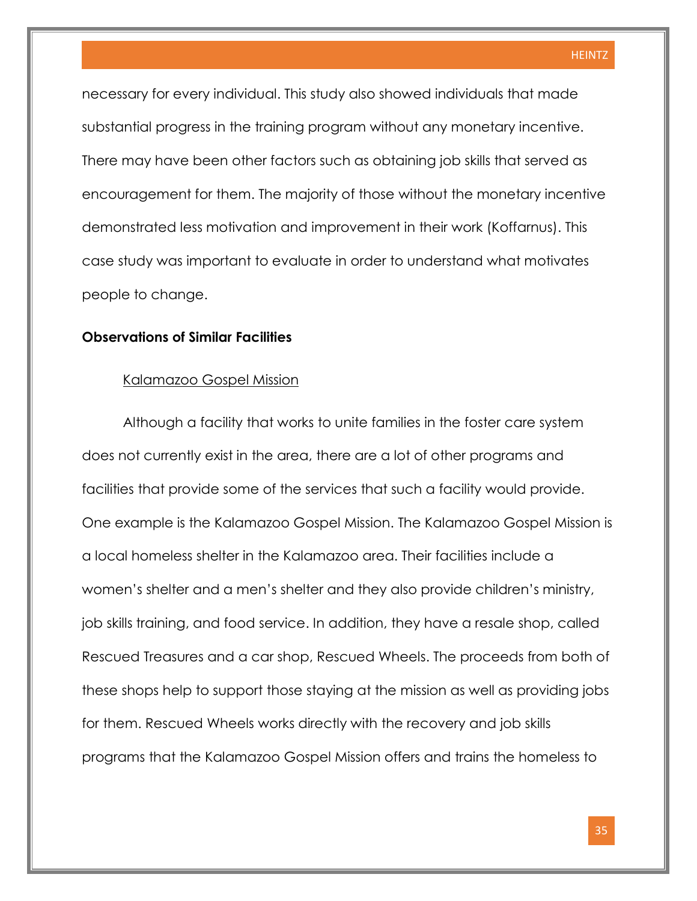necessary for every individual. This study also showed individuals that made substantial progress in the training program without any monetary incentive. There may have been other factors such as obtaining job skills that served as encouragement for them. The majority of those without the monetary incentive demonstrated less motivation and improvement in their work (Koffarnus). This case study was important to evaluate in order to understand what motivates people to change.

#### **Observations of Similar Facilities**

#### Kalamazoo Gospel Mission

Although a facility that works to unite families in the foster care system does not currently exist in the area, there are a lot of other programs and facilities that provide some of the services that such a facility would provide. One example is the Kalamazoo Gospel Mission. The Kalamazoo Gospel Mission is a local homeless shelter in the Kalamazoo area. Their facilities include a women's shelter and a men's shelter and they also provide children's ministry, job skills training, and food service. In addition, they have a resale shop, called Rescued Treasures and a car shop, Rescued Wheels. The proceeds from both of these shops help to support those staying at the mission as well as providing jobs for them. Rescued Wheels works directly with the recovery and job skills programs that the Kalamazoo Gospel Mission offers and trains the homeless to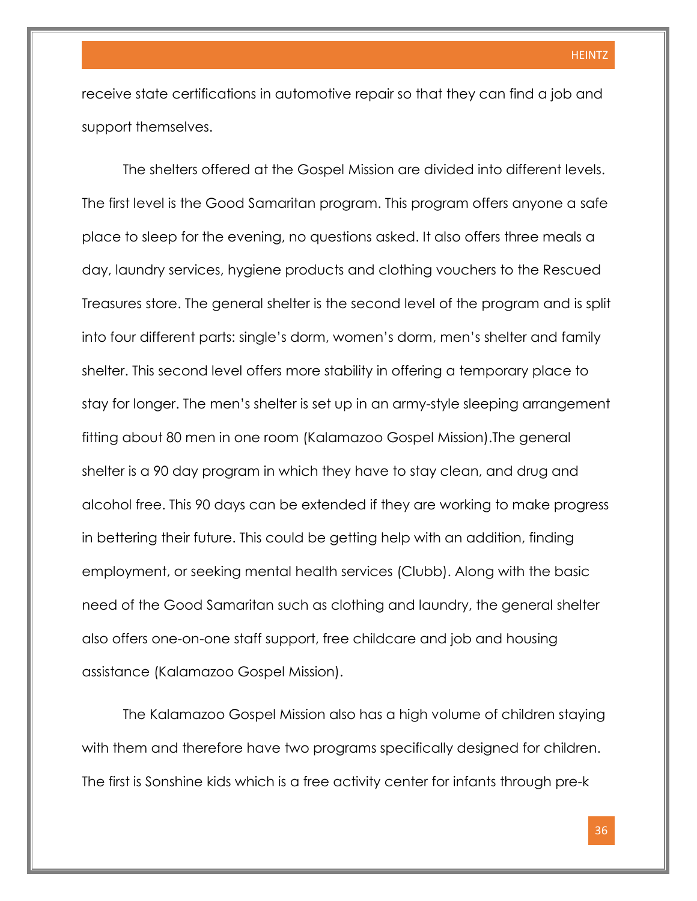receive state certifications in automotive repair so that they can find a job and support themselves.

The shelters offered at the Gospel Mission are divided into different levels. The first level is the Good Samaritan program. This program offers anyone a safe place to sleep for the evening, no questions asked. It also offers three meals a day, laundry services, hygiene products and clothing vouchers to the Rescued Treasures store. The general shelter is the second level of the program and is split into four different parts: single's dorm, women's dorm, men's shelter and family shelter. This second level offers more stability in offering a temporary place to stay for longer. The men's shelter is set up in an army-style sleeping arrangement fitting about 80 men in one room (Kalamazoo Gospel Mission).The general shelter is a 90 day program in which they have to stay clean, and drug and alcohol free. This 90 days can be extended if they are working to make progress in bettering their future. This could be getting help with an addition, finding employment, or seeking mental health services (Clubb). Along with the basic need of the Good Samaritan such as clothing and laundry, the general shelter also offers one-on-one staff support, free childcare and job and housing assistance (Kalamazoo Gospel Mission).

The Kalamazoo Gospel Mission also has a high volume of children staying with them and therefore have two programs specifically designed for children. The first is Sonshine kids which is a free activity center for infants through pre-k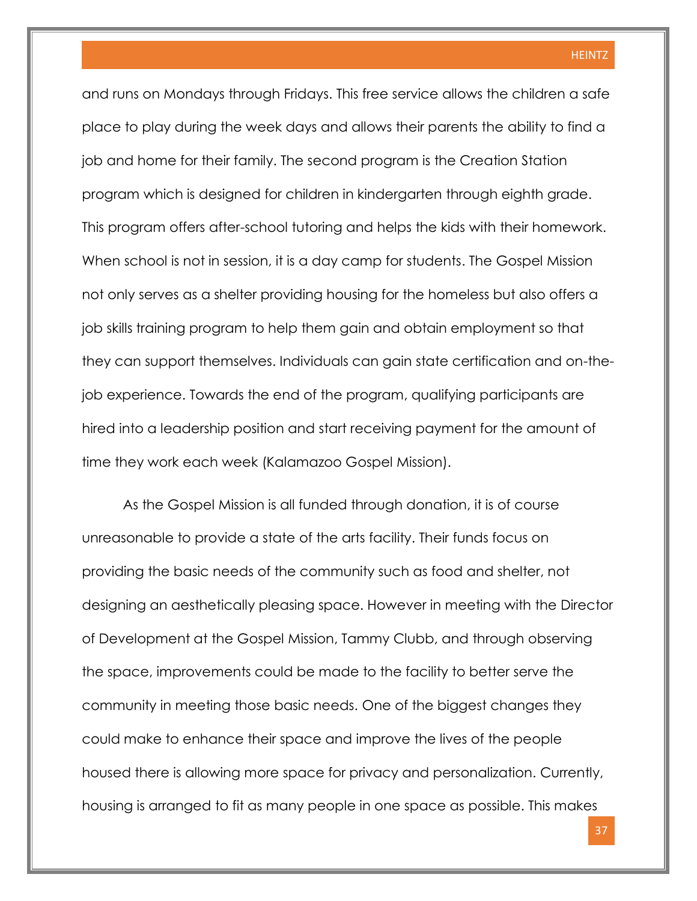and runs on Mondays through Fridays. This free service allows the children a safe place to play during the week days and allows their parents the ability to find a job and home for their family. The second program is the Creation Station program which is designed for children in kindergarten through eighth grade. This program offers after-school tutoring and helps the kids with their homework. When school is not in session, it is a day camp for students. The Gospel Mission not only serves as a shelter providing housing for the homeless but also offers a job skills training program to help them gain and obtain employment so that they can support themselves. Individuals can gain state certification and on-thejob experience. Towards the end of the program, qualifying participants are hired into a leadership position and start receiving payment for the amount of time they work each week (Kalamazoo Gospel Mission).

As the Gospel Mission is all funded through donation, it is of course unreasonable to provide a state of the arts facility. Their funds focus on providing the basic needs of the community such as food and shelter, not designing an aesthetically pleasing space. However in meeting with the Director of Development at the Gospel Mission, Tammy Clubb, and through observing the space, improvements could be made to the facility to better serve the community in meeting those basic needs. One of the biggest changes they could make to enhance their space and improve the lives of the people housed there is allowing more space for privacy and personalization. Currently, housing is arranged to fit as many people in one space as possible. This makes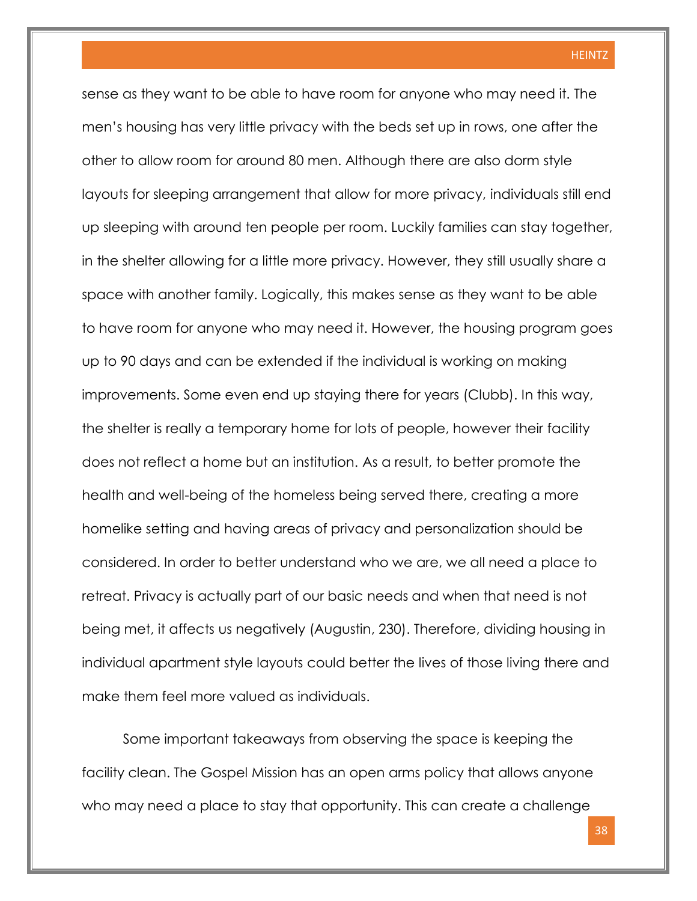sense as they want to be able to have room for anyone who may need it. The men's housing has very little privacy with the beds set up in rows, one after the other to allow room for around 80 men. Although there are also dorm style layouts for sleeping arrangement that allow for more privacy, individuals still end up sleeping with around ten people per room. Luckily families can stay together, in the shelter allowing for a little more privacy. However, they still usually share a space with another family. Logically, this makes sense as they want to be able to have room for anyone who may need it. However, the housing program goes up to 90 days and can be extended if the individual is working on making improvements. Some even end up staying there for years (Clubb). In this way, the shelter is really a temporary home for lots of people, however their facility does not reflect a home but an institution. As a result, to better promote the health and well-being of the homeless being served there, creating a more homelike setting and having areas of privacy and personalization should be considered. In order to better understand who we are, we all need a place to retreat. Privacy is actually part of our basic needs and when that need is not being met, it affects us negatively (Augustin, 230). Therefore, dividing housing in individual apartment style layouts could better the lives of those living there and make them feel more valued as individuals.

Some important takeaways from observing the space is keeping the facility clean. The Gospel Mission has an open arms policy that allows anyone who may need a place to stay that opportunity. This can create a challenge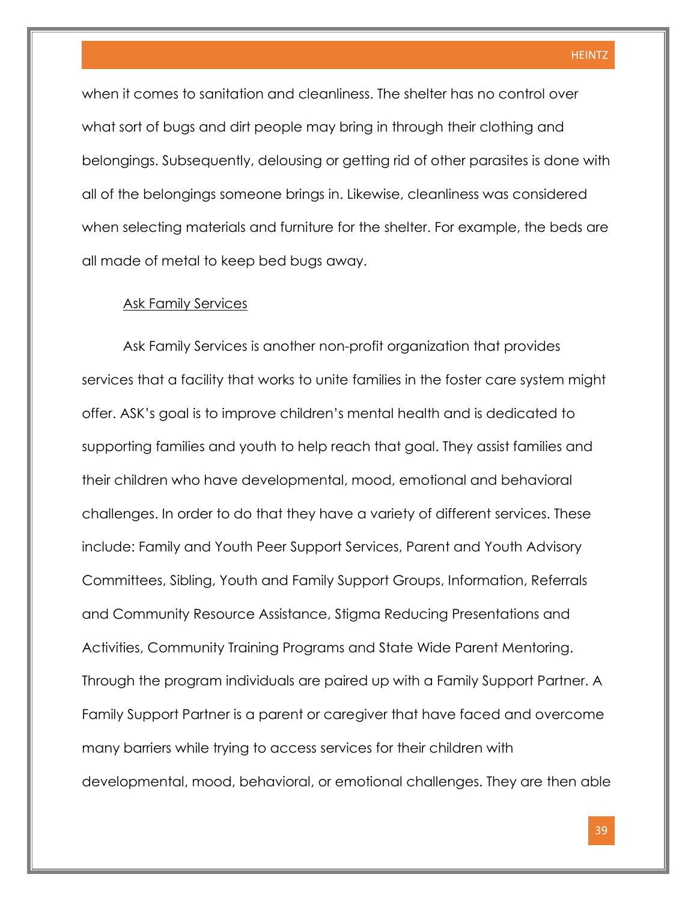when it comes to sanitation and cleanliness. The shelter has no control over what sort of bugs and dirt people may bring in through their clothing and belongings. Subsequently, delousing or getting rid of other parasites is done with all of the belongings someone brings in. Likewise, cleanliness was considered when selecting materials and furniture for the shelter. For example, the beds are all made of metal to keep bed bugs away.

#### Ask Family Services

Ask Family Services is another non-profit organization that provides services that a facility that works to unite families in the foster care system might offer. ASK's goal is to improve children's mental health and is dedicated to supporting families and youth to help reach that goal. They assist families and their children who have developmental, mood, emotional and behavioral challenges. In order to do that they have a variety of different services. These include: Family and Youth Peer Support Services, Parent and Youth Advisory Committees, Sibling, Youth and Family Support Groups, Information, Referrals and Community Resource Assistance, Stigma Reducing Presentations and Activities, Community Training Programs and State Wide Parent Mentoring. Through the program individuals are paired up with a Family Support Partner. A Family Support Partner is a parent or caregiver that have faced and overcome many barriers while trying to access services for their children with developmental, mood, behavioral, or emotional challenges. They are then able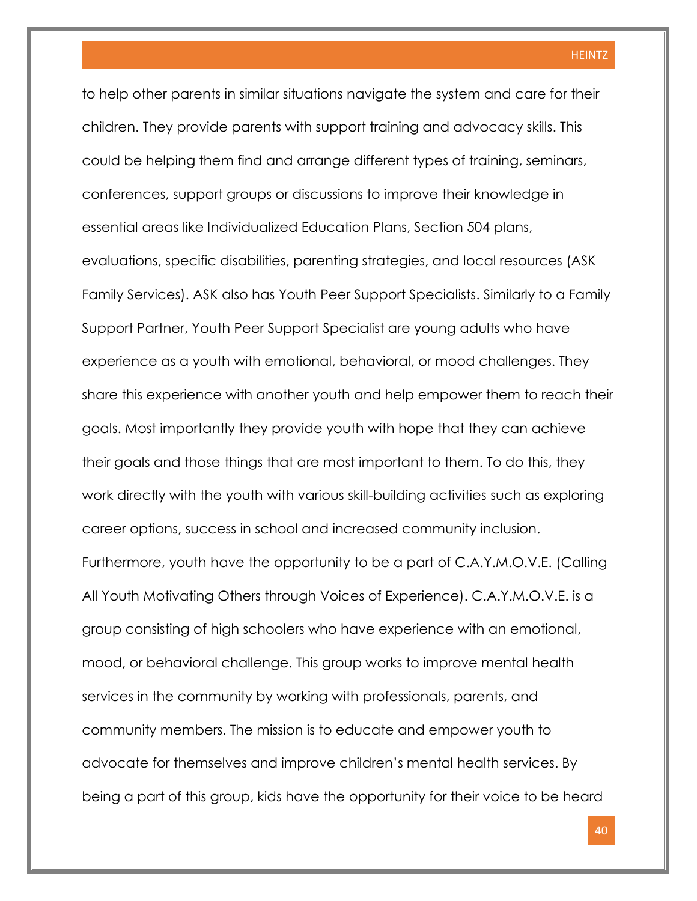to help other parents in similar situations navigate the system and care for their children. They provide parents with support training and advocacy skills. This could be helping them find and arrange different types of training, seminars, conferences, support groups or discussions to improve their knowledge in essential areas like Individualized Education Plans, Section 504 plans, evaluations, specific disabilities, parenting strategies, and local resources (ASK Family Services). ASK also has Youth Peer Support Specialists. Similarly to a Family Support Partner, Youth Peer Support Specialist are young adults who have experience as a youth with emotional, behavioral, or mood challenges. They share this experience with another youth and help empower them to reach their goals. Most importantly they provide youth with hope that they can achieve their goals and those things that are most important to them. To do this, they work directly with the youth with various skill-building activities such as exploring career options, success in school and increased community inclusion. Furthermore, youth have the opportunity to be a part of C.A.Y.M.O.V.E. (Calling All Youth Motivating Others through Voices of Experience). C.A.Y.M.O.V.E. is a group consisting of high schoolers who have experience with an emotional, mood, or behavioral challenge. This group works to improve mental health services in the community by working with professionals, parents, and community members. The mission is to educate and empower youth to advocate for themselves and improve children's mental health services. By being a part of this group, kids have the opportunity for their voice to be heard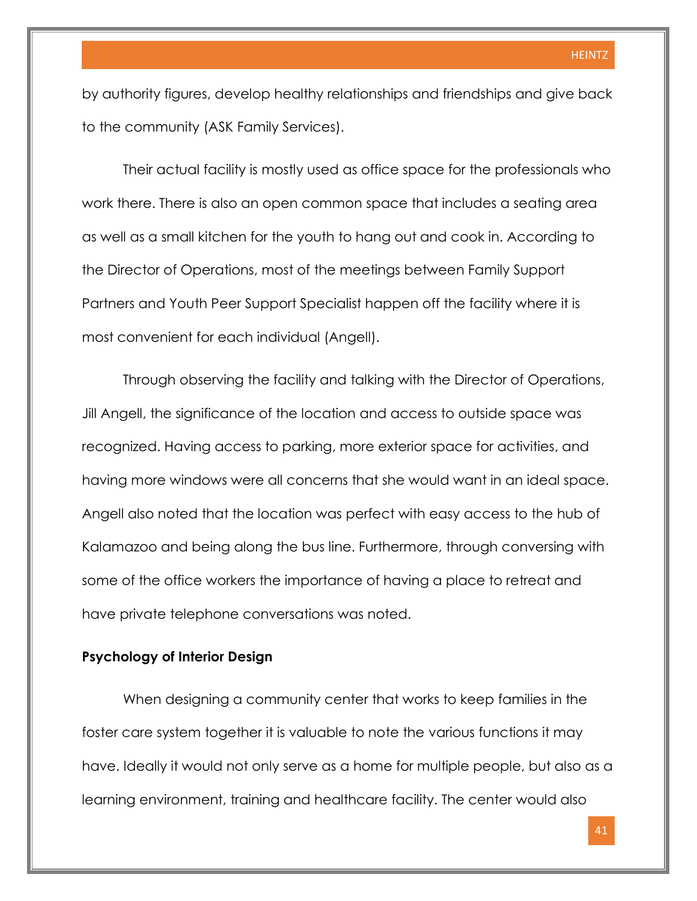by authority figures, develop healthy relationships and friendships and give back to the community (ASK Family Services).

Their actual facility is mostly used as office space for the professionals who work there. There is also an open common space that includes a seating area as well as a small kitchen for the youth to hang out and cook in. According to the Director of Operations, most of the meetings between Family Support Partners and Youth Peer Support Specialist happen off the facility where it is most convenient for each individual (Angell).

Through observing the facility and talking with the Director of Operations, Jill Angell, the significance of the location and access to outside space was recognized. Having access to parking, more exterior space for activities, and having more windows were all concerns that she would want in an ideal space. Angell also noted that the location was perfect with easy access to the hub of Kalamazoo and being along the bus line. Furthermore, through conversing with some of the office workers the importance of having a place to retreat and have private telephone conversations was noted.

#### **Psychology of Interior Design**

When designing a community center that works to keep families in the foster care system together it is valuable to note the various functions it may have. Ideally it would not only serve as a home for multiple people, but also as a learning environment, training and healthcare facility. The center would also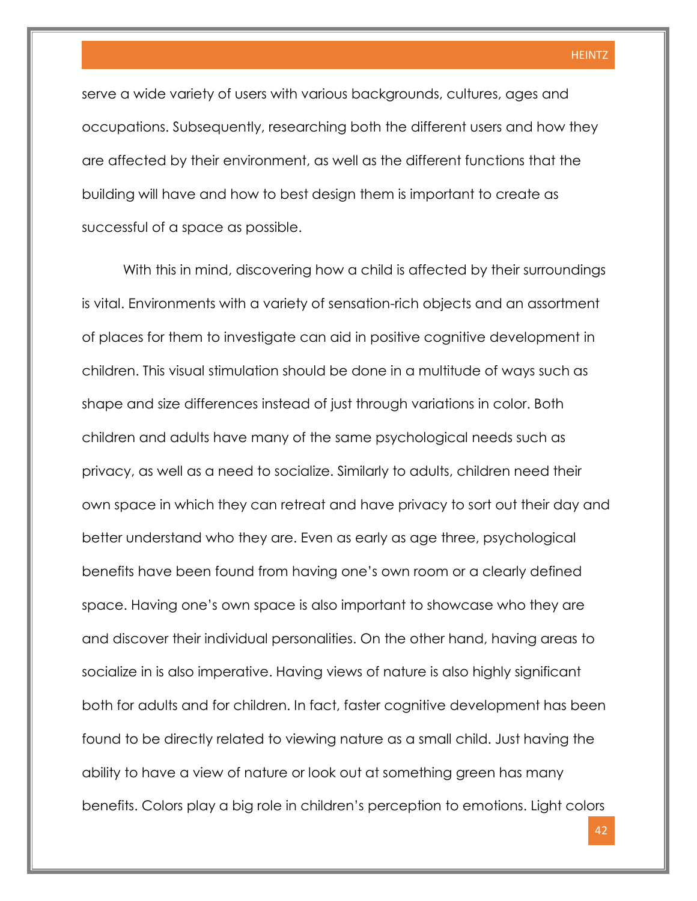serve a wide variety of users with various backgrounds, cultures, ages and occupations. Subsequently, researching both the different users and how they are affected by their environment, as well as the different functions that the building will have and how to best design them is important to create as successful of a space as possible.

With this in mind, discovering how a child is affected by their surroundings is vital. Environments with a variety of sensation-rich objects and an assortment of places for them to investigate can aid in positive cognitive development in children. This visual stimulation should be done in a multitude of ways such as shape and size differences instead of just through variations in color. Both children and adults have many of the same psychological needs such as privacy, as well as a need to socialize. Similarly to adults, children need their own space in which they can retreat and have privacy to sort out their day and better understand who they are. Even as early as age three, psychological benefits have been found from having one's own room or a clearly defined space. Having one's own space is also important to showcase who they are and discover their individual personalities. On the other hand, having areas to socialize in is also imperative. Having views of nature is also highly significant both for adults and for children. In fact, faster cognitive development has been found to be directly related to viewing nature as a small child. Just having the ability to have a view of nature or look out at something green has many benefits. Colors play a big role in children's perception to emotions. Light colors

42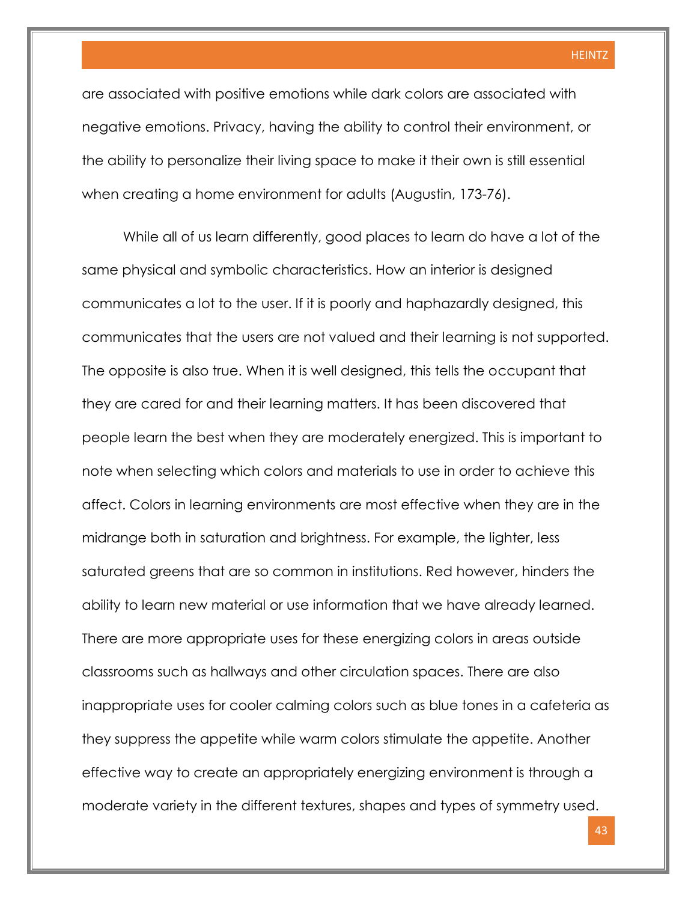are associated with positive emotions while dark colors are associated with negative emotions. Privacy, having the ability to control their environment, or the ability to personalize their living space to make it their own is still essential when creating a home environment for adults (Augustin, 173-76).

While all of us learn differently, good places to learn do have a lot of the same physical and symbolic characteristics. How an interior is designed communicates a lot to the user. If it is poorly and haphazardly designed, this communicates that the users are not valued and their learning is not supported. The opposite is also true. When it is well designed, this tells the occupant that they are cared for and their learning matters. It has been discovered that people learn the best when they are moderately energized. This is important to note when selecting which colors and materials to use in order to achieve this affect. Colors in learning environments are most effective when they are in the midrange both in saturation and brightness. For example, the lighter, less saturated greens that are so common in institutions. Red however, hinders the ability to learn new material or use information that we have already learned. There are more appropriate uses for these energizing colors in areas outside classrooms such as hallways and other circulation spaces. There are also inappropriate uses for cooler calming colors such as blue tones in a cafeteria as they suppress the appetite while warm colors stimulate the appetite. Another effective way to create an appropriately energizing environment is through a moderate variety in the different textures, shapes and types of symmetry used.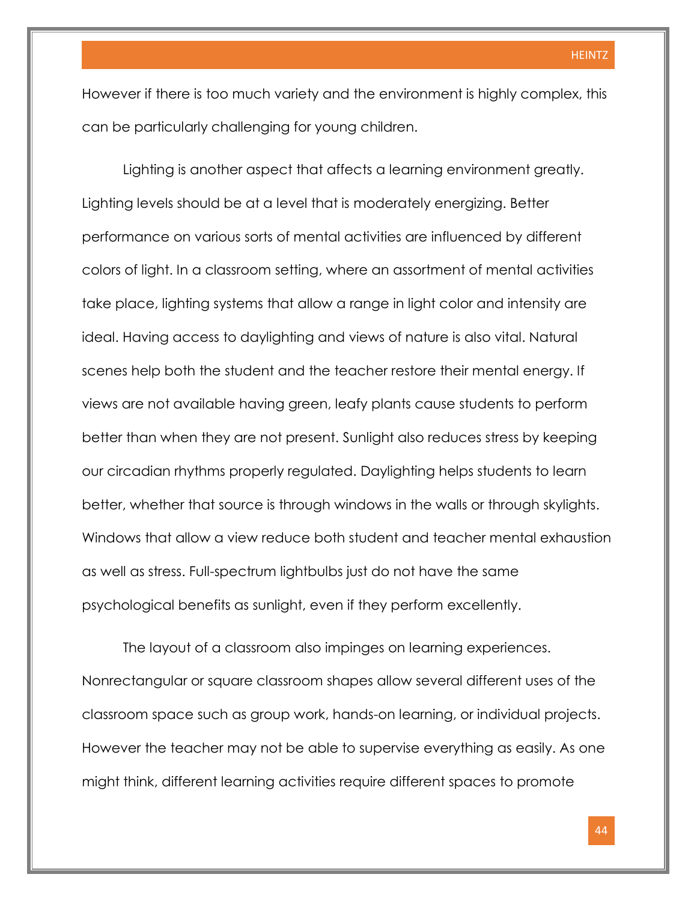However if there is too much variety and the environment is highly complex, this can be particularly challenging for young children.

Lighting is another aspect that affects a learning environment greatly. Lighting levels should be at a level that is moderately energizing. Better performance on various sorts of mental activities are influenced by different colors of light. In a classroom setting, where an assortment of mental activities take place, lighting systems that allow a range in light color and intensity are ideal. Having access to daylighting and views of nature is also vital. Natural scenes help both the student and the teacher restore their mental energy. If views are not available having green, leafy plants cause students to perform better than when they are not present. Sunlight also reduces stress by keeping our circadian rhythms properly regulated. Daylighting helps students to learn better, whether that source is through windows in the walls or through skylights. Windows that allow a view reduce both student and teacher mental exhaustion as well as stress. Full-spectrum lightbulbs just do not have the same psychological benefits as sunlight, even if they perform excellently.

The layout of a classroom also impinges on learning experiences. Nonrectangular or square classroom shapes allow several different uses of the classroom space such as group work, hands-on learning, or individual projects. However the teacher may not be able to supervise everything as easily. As one might think, different learning activities require different spaces to promote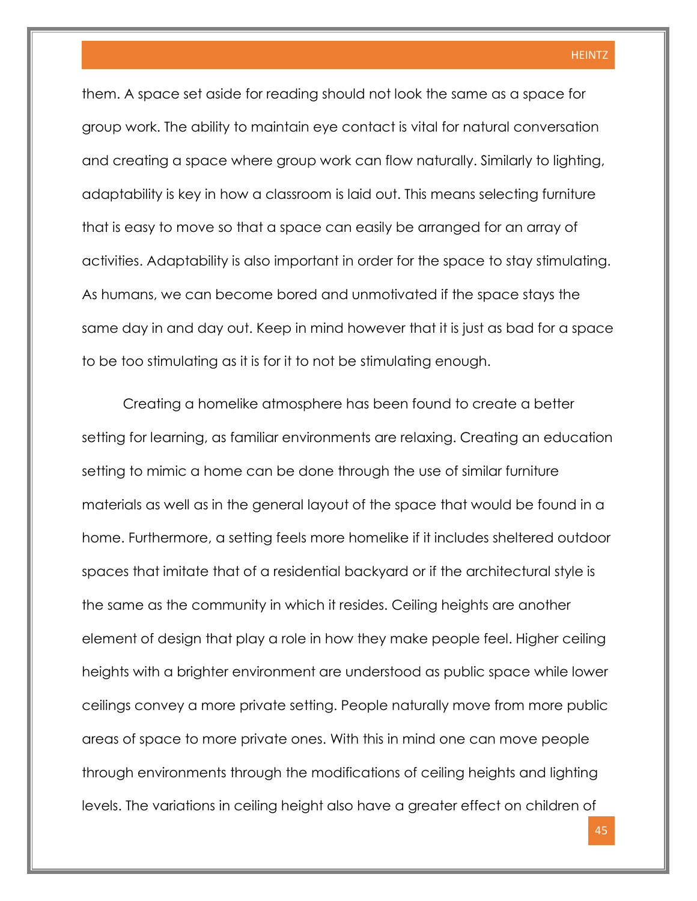them. A space set aside for reading should not look the same as a space for group work. The ability to maintain eye contact is vital for natural conversation and creating a space where group work can flow naturally. Similarly to lighting, adaptability is key in how a classroom is laid out. This means selecting furniture that is easy to move so that a space can easily be arranged for an array of activities. Adaptability is also important in order for the space to stay stimulating. As humans, we can become bored and unmotivated if the space stays the same day in and day out. Keep in mind however that it is just as bad for a space to be too stimulating as it is for it to not be stimulating enough.

Creating a homelike atmosphere has been found to create a better setting for learning, as familiar environments are relaxing. Creating an education setting to mimic a home can be done through the use of similar furniture materials as well as in the general layout of the space that would be found in a home. Furthermore, a setting feels more homelike if it includes sheltered outdoor spaces that imitate that of a residential backyard or if the architectural style is the same as the community in which it resides. Ceiling heights are another element of design that play a role in how they make people feel. Higher ceiling heights with a brighter environment are understood as public space while lower ceilings convey a more private setting. People naturally move from more public areas of space to more private ones. With this in mind one can move people through environments through the modifications of ceiling heights and lighting levels. The variations in ceiling height also have a greater effect on children of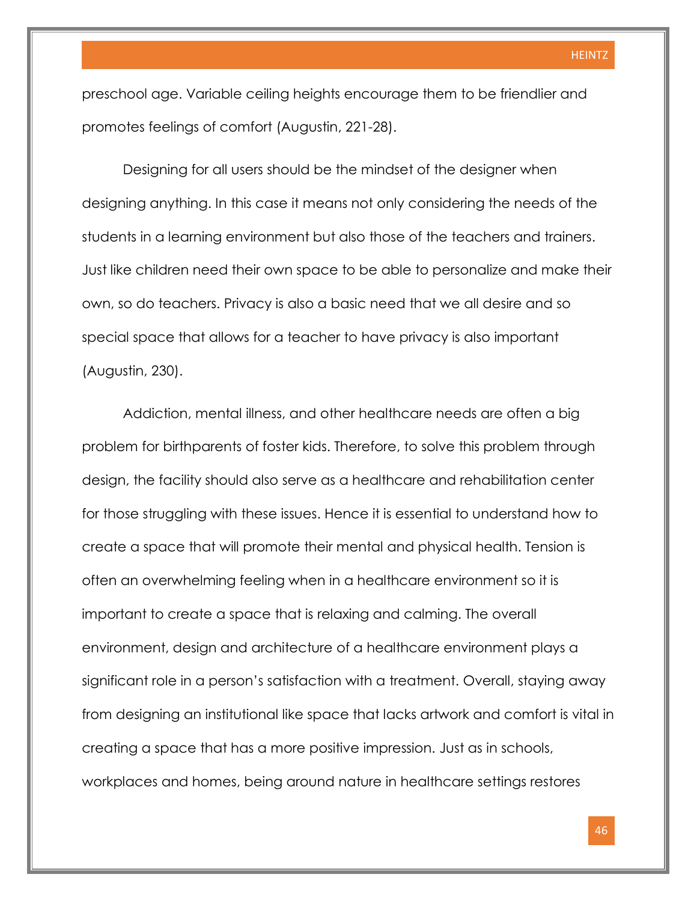preschool age. Variable ceiling heights encourage them to be friendlier and promotes feelings of comfort (Augustin, 221-28).

Designing for all users should be the mindset of the designer when designing anything. In this case it means not only considering the needs of the students in a learning environment but also those of the teachers and trainers. Just like children need their own space to be able to personalize and make their own, so do teachers. Privacy is also a basic need that we all desire and so special space that allows for a teacher to have privacy is also important (Augustin, 230).

Addiction, mental illness, and other healthcare needs are often a big problem for birthparents of foster kids. Therefore, to solve this problem through design, the facility should also serve as a healthcare and rehabilitation center for those struggling with these issues. Hence it is essential to understand how to create a space that will promote their mental and physical health. Tension is often an overwhelming feeling when in a healthcare environment so it is important to create a space that is relaxing and calming. The overall environment, design and architecture of a healthcare environment plays a significant role in a person's satisfaction with a treatment. Overall, staying away from designing an institutional like space that lacks artwork and comfort is vital in creating a space that has a more positive impression. Just as in schools, workplaces and homes, being around nature in healthcare settings restores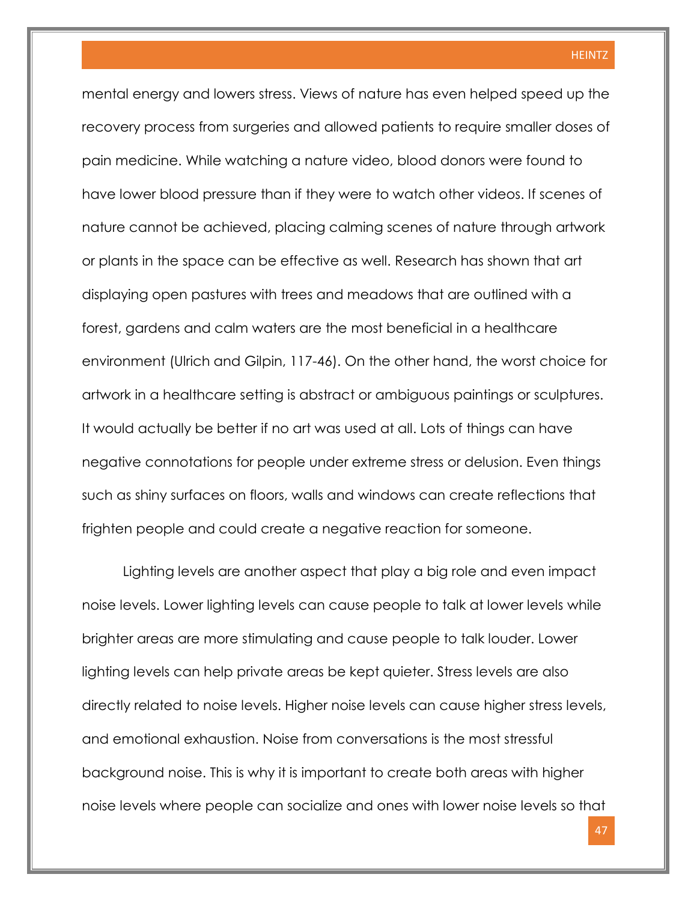mental energy and lowers stress. Views of nature has even helped speed up the recovery process from surgeries and allowed patients to require smaller doses of pain medicine. While watching a nature video, blood donors were found to have lower blood pressure than if they were to watch other videos. If scenes of nature cannot be achieved, placing calming scenes of nature through artwork or plants in the space can be effective as well. Research has shown that art displaying open pastures with trees and meadows that are outlined with a forest, gardens and calm waters are the most beneficial in a healthcare environment (Ulrich and Gilpin, 117-46). On the other hand, the worst choice for artwork in a healthcare setting is abstract or ambiguous paintings or sculptures. It would actually be better if no art was used at all. Lots of things can have negative connotations for people under extreme stress or delusion. Even things such as shiny surfaces on floors, walls and windows can create reflections that frighten people and could create a negative reaction for someone.

Lighting levels are another aspect that play a big role and even impact noise levels. Lower lighting levels can cause people to talk at lower levels while brighter areas are more stimulating and cause people to talk louder. Lower lighting levels can help private areas be kept quieter. Stress levels are also directly related to noise levels. Higher noise levels can cause higher stress levels, and emotional exhaustion. Noise from conversations is the most stressful background noise. This is why it is important to create both areas with higher noise levels where people can socialize and ones with lower noise levels so that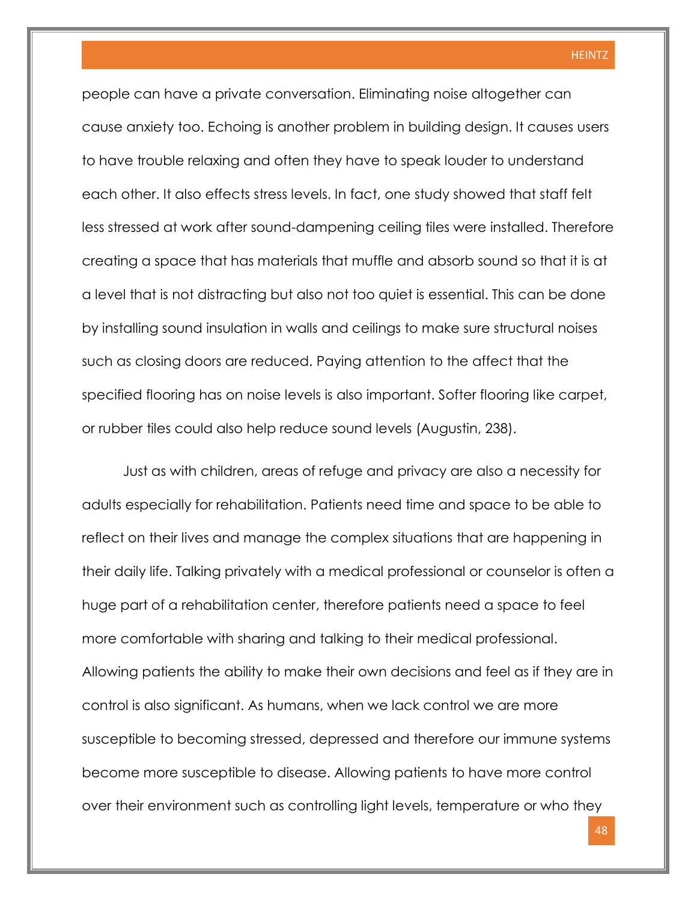people can have a private conversation. Eliminating noise altogether can cause anxiety too. Echoing is another problem in building design. It causes users to have trouble relaxing and often they have to speak louder to understand each other. It also effects stress levels. In fact, one study showed that staff felt less stressed at work after sound-dampening ceiling tiles were installed. Therefore creating a space that has materials that muffle and absorb sound so that it is at a level that is not distracting but also not too quiet is essential. This can be done by installing sound insulation in walls and ceilings to make sure structural noises such as closing doors are reduced. Paying attention to the affect that the specified flooring has on noise levels is also important. Softer flooring like carpet, or rubber tiles could also help reduce sound levels (Augustin, 238).

Just as with children, areas of refuge and privacy are also a necessity for adults especially for rehabilitation. Patients need time and space to be able to reflect on their lives and manage the complex situations that are happening in their daily life. Talking privately with a medical professional or counselor is often a huge part of a rehabilitation center, therefore patients need a space to feel more comfortable with sharing and talking to their medical professional. Allowing patients the ability to make their own decisions and feel as if they are in control is also significant. As humans, when we lack control we are more susceptible to becoming stressed, depressed and therefore our immune systems become more susceptible to disease. Allowing patients to have more control over their environment such as controlling light levels, temperature or who they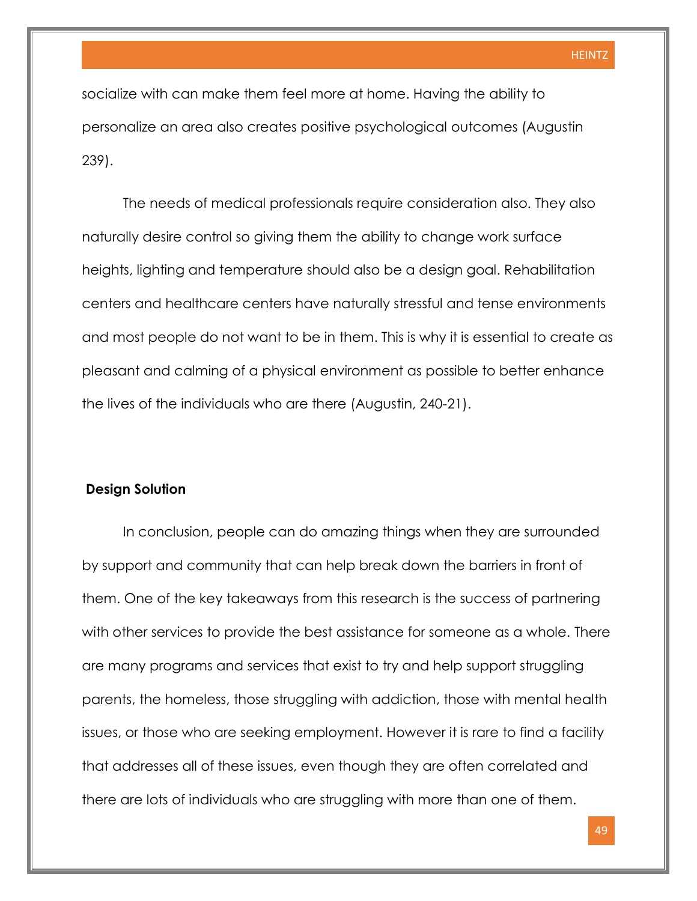socialize with can make them feel more at home. Having the ability to personalize an area also creates positive psychological outcomes (Augustin 239).

The needs of medical professionals require consideration also. They also naturally desire control so giving them the ability to change work surface heights, lighting and temperature should also be a design goal. Rehabilitation centers and healthcare centers have naturally stressful and tense environments and most people do not want to be in them. This is why it is essential to create as pleasant and calming of a physical environment as possible to better enhance the lives of the individuals who are there (Augustin, 240-21).

#### **Design Solution**

In conclusion, people can do amazing things when they are surrounded by support and community that can help break down the barriers in front of them. One of the key takeaways from this research is the success of partnering with other services to provide the best assistance for someone as a whole. There are many programs and services that exist to try and help support struggling parents, the homeless, those struggling with addiction, those with mental health issues, or those who are seeking employment. However it is rare to find a facility that addresses all of these issues, even though they are often correlated and there are lots of individuals who are struggling with more than one of them.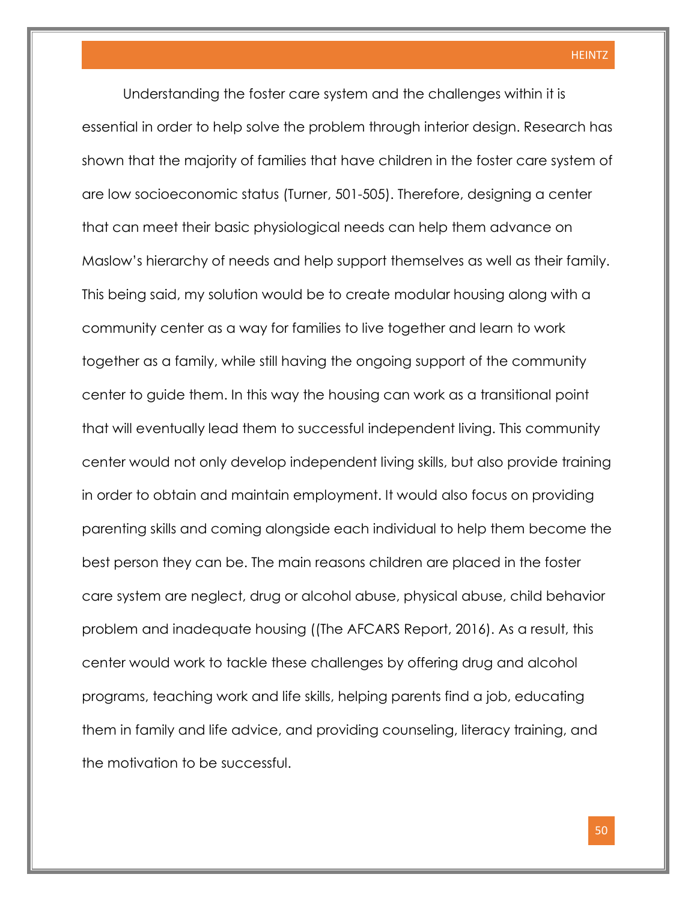Understanding the foster care system and the challenges within it is essential in order to help solve the problem through interior design. Research has shown that the majority of families that have children in the foster care system of are low socioeconomic status (Turner, 501-505). Therefore, designing a center that can meet their basic physiological needs can help them advance on Maslow's hierarchy of needs and help support themselves as well as their family. This being said, my solution would be to create modular housing along with a community center as a way for families to live together and learn to work together as a family, while still having the ongoing support of the community center to guide them. In this way the housing can work as a transitional point that will eventually lead them to successful independent living. This community center would not only develop independent living skills, but also provide training in order to obtain and maintain employment. It would also focus on providing parenting skills and coming alongside each individual to help them become the best person they can be. The main reasons children are placed in the foster care system are neglect, drug or alcohol abuse, physical abuse, child behavior problem and inadequate housing ((The AFCARS Report, 2016). As a result, this center would work to tackle these challenges by offering drug and alcohol programs, teaching work and life skills, helping parents find a job, educating them in family and life advice, and providing counseling, literacy training, and the motivation to be successful.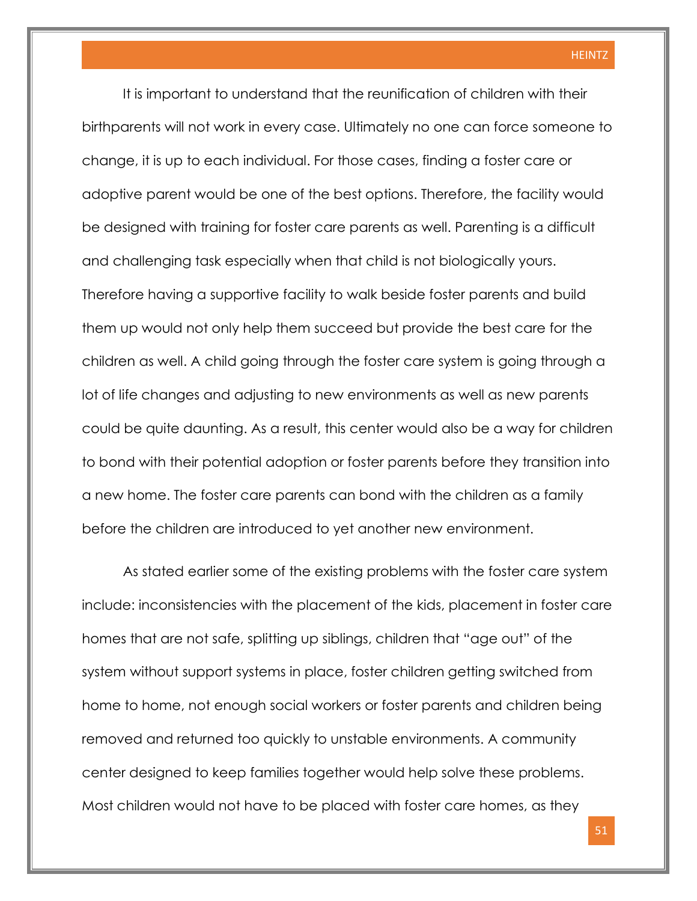It is important to understand that the reunification of children with their birthparents will not work in every case. Ultimately no one can force someone to change, it is up to each individual. For those cases, finding a foster care or adoptive parent would be one of the best options. Therefore, the facility would be designed with training for foster care parents as well. Parenting is a difficult and challenging task especially when that child is not biologically yours. Therefore having a supportive facility to walk beside foster parents and build them up would not only help them succeed but provide the best care for the children as well. A child going through the foster care system is going through a lot of life changes and adjusting to new environments as well as new parents could be quite daunting. As a result, this center would also be a way for children to bond with their potential adoption or foster parents before they transition into a new home. The foster care parents can bond with the children as a family before the children are introduced to yet another new environment.

As stated earlier some of the existing problems with the foster care system include: inconsistencies with the placement of the kids, placement in foster care homes that are not safe, splitting up siblings, children that "age out" of the system without support systems in place, foster children getting switched from home to home, not enough social workers or foster parents and children being removed and returned too quickly to unstable environments. A community center designed to keep families together would help solve these problems. Most children would not have to be placed with foster care homes, as they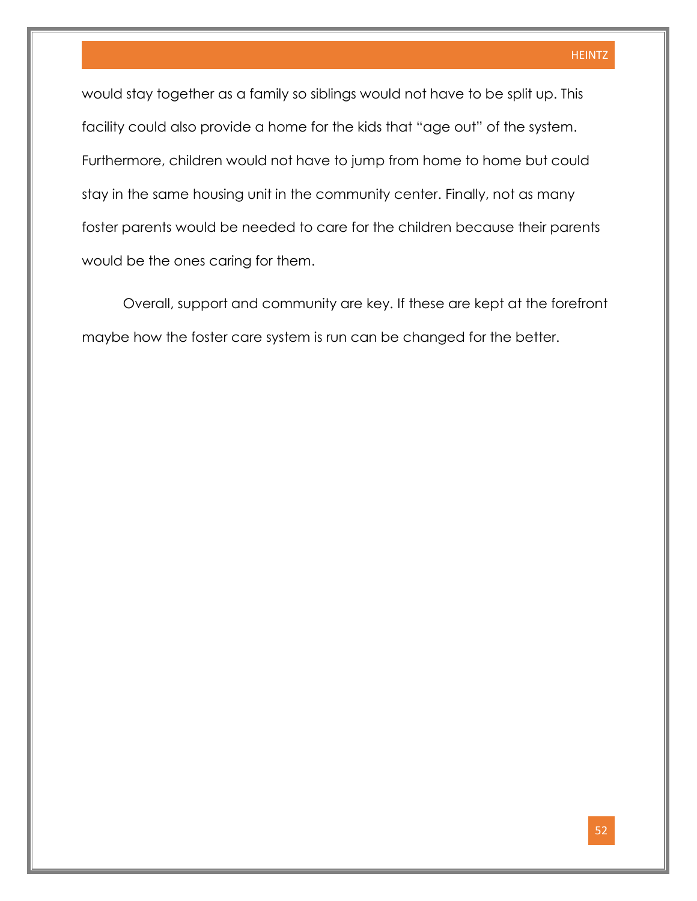would stay together as a family so siblings would not have to be split up. This facility could also provide a home for the kids that "age out" of the system. Furthermore, children would not have to jump from home to home but could stay in the same housing unit in the community center. Finally, not as many foster parents would be needed to care for the children because their parents would be the ones caring for them.

Overall, support and community are key. If these are kept at the forefront maybe how the foster care system is run can be changed for the better.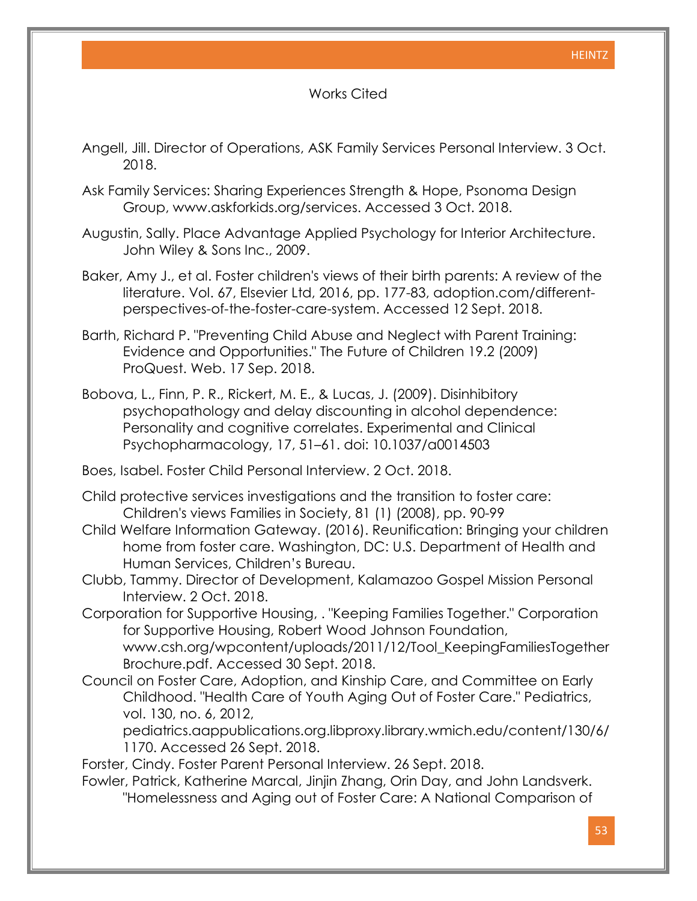#### Works Cited

- Angell, Jill. Director of Operations, ASK Family Services Personal Interview. 3 Oct. 2018.
- Ask Family Services: Sharing Experiences Strength & Hope, Psonoma Design Group, www.askforkids.org/services. Accessed 3 Oct. 2018.
- Augustin, Sally. Place Advantage Applied Psychology for Interior Architecture. John Wiley & Sons Inc., 2009.
- Baker, Amy J., et al. Foster children's views of their birth parents: A review of the literature. Vol. 67, Elsevier Ltd, 2016, pp. 177-83, adoption.com/differentperspectives-of-the-foster-care-system. Accessed 12 Sept. 2018.
- Barth, Richard P. "Preventing Child Abuse and Neglect with Parent Training: Evidence and Opportunities." The Future of Children 19.2 (2009) ProQuest. Web. 17 Sep. 2018.

Bobova, L., Finn, P. R., Rickert, M. E., & Lucas, J. (2009). Disinhibitory psychopathology and delay discounting in alcohol dependence: Personality and cognitive correlates. Experimental and Clinical Psychopharmacology, 17, 51–61. doi: [10.1037/a0014503](https://doi-org.libproxy.library.wmich.edu/10.1037/a0014503)

- Boes, Isabel. Foster Child Personal Interview. 2 Oct. 2018.
- Child protective services investigations and the transition to foster care: Children's views Families in Society, 81 (1) (2008), pp. 90-99
- Child Welfare Information Gateway. (2016). Reunification: Bringing your children home from foster care. Washington, DC: U.S. Department of Health and Human Services, Children's Bureau.
- Clubb, Tammy. Director of Development, Kalamazoo Gospel Mission Personal Interview. 2 Oct. 2018.
- Corporation for Supportive Housing, . "Keeping Families Together." Corporation for Supportive Housing, Robert Wood Johnson Foundation, www.csh.org/wpcontent/uploads/2011/12/Tool\_KeepingFamiliesTogether Brochure.pdf. Accessed 30 Sept. 2018.
- Council on Foster Care, Adoption, and Kinship Care, and Committee on Early Childhood. "Health Care of Youth Aging Out of Foster Care." Pediatrics, vol. 130, no. 6, 2012,

pediatrics.aappublications.org.libproxy.library.wmich.edu/content/130/6/ 1170. Accessed 26 Sept. 2018.

Forster, Cindy. Foster Parent Personal Interview. 26 Sept. 2018.

Fowler, Patrick, Katherine Marcal, Jinjin Zhang, Orin Day, and John Landsverk. "Homelessness and Aging out of Foster Care: A National Comparison of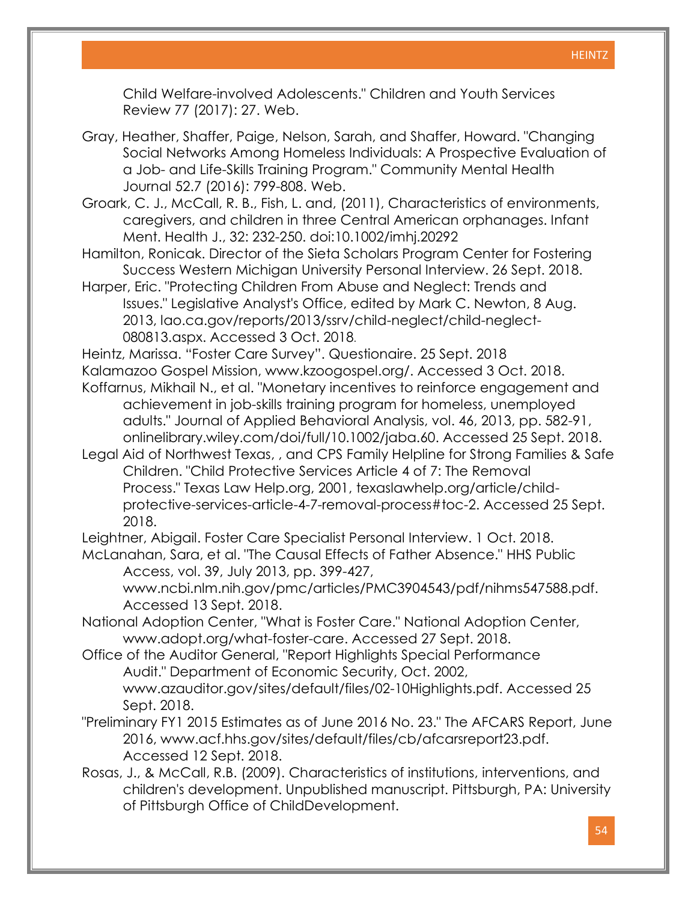Child Welfare-involved Adolescents." Children and Youth Services Review 77 (2017): 27. Web.

- Gray, Heather, Shaffer, Paige, Nelson, Sarah, and Shaffer, Howard. "Changing Social Networks Among Homeless Individuals: A Prospective Evaluation of a Job- and Life-Skills Training Program." Community Mental Health Journal 52.7 (2016): 799-808. Web.
- Groark, C. J., McCall, R. B., Fish, L. and, (2011), Characteristics of environments, caregivers, and children in three Central American orphanages. Infant Ment. Health J., 32: 232-250. doi[:10.1002/imhj.20292](https://doi-org.libproxy.library.wmich.edu/10.1002/imhj.20292)
- Hamilton, Ronicak. Director of the Sieta Scholars Program Center for Fostering Success Western Michigan University Personal Interview. 26 Sept. 2018.
- Harper, Eric. "Protecting Children From Abuse and Neglect: Trends and Issues." Legislative Analyst's Office, edited by Mark C. Newton, 8 Aug. 2013, lao.ca.gov/reports/2013/ssrv/child-neglect/child-neglect-080813.aspx. Accessed 3 Oct. 2018.

Heintz, Marissa. "Foster Care Survey". Questionaire. 25 Sept. 2018

- Kalamazoo Gospel Mission, www.kzoogospel.org/. Accessed 3 Oct. 2018. Koffarnus, Mikhail N., et al. "Monetary incentives to reinforce engagement and achievement in job-skills training program for homeless, unemployed adults." Journal of Applied Behavioral Analysis, vol. 46, 2013, pp. 582-91, onlinelibrary.wiley.com/doi/full/10.1002/jaba.60. Accessed 25 Sept. 2018.
- Legal Aid of Northwest Texas, , and CPS Family Helpline for Strong Families & Safe Children. "Child Protective Services Article 4 of 7: The Removal Process." Texas Law Help.org, 2001, texaslawhelp.org/article/childprotective-services-article-4-7-removal-process#toc-2. Accessed 25 Sept. 2018.

Leightner, Abigail. Foster Care Specialist Personal Interview. 1 Oct. 2018.

McLanahan, Sara, et al. "The Causal Effects of Father Absence." HHS Public Access, vol. 39, July 2013, pp. 399-427,

[www.ncbi.nlm.nih.gov/pmc/articles/PMC3904543/pdf/nihms547588.pdf.](http://www.ncbi.nlm.nih.gov/pmc/articles/PMC3904543/pdf/nihms547588.pdf.%20Accessed%2013%20Sept.%202018)  [Accessed 13 Sept. 2018.](http://www.ncbi.nlm.nih.gov/pmc/articles/PMC3904543/pdf/nihms547588.pdf.%20Accessed%2013%20Sept.%202018)

- National Adoption Center, "What is Foster Care." National Adoption Center, www.adopt.org/what-foster-care. Accessed 27 Sept. 2018.
- Office of the Auditor General, "Report Highlights Special Performance Audit." Department of Economic Security, Oct. 2002, www.azauditor.gov/sites/default/files/02-10Highlights.pdf. Accessed 25 Sept. 2018.
- "Preliminary FY1 2015 Estimates as of June 2016 No. 23." The AFCARS Report, June 2016, www.acf.hhs.gov/sites/default/files/cb/afcarsreport23.pdf. Accessed 12 Sept. 2018.
- Rosas, J., & McCall, R.B. (2009). Characteristics of institutions, interventions, and children's development. Unpublished manuscript. Pittsburgh, PA: University of Pittsburgh Office of ChildDevelopment.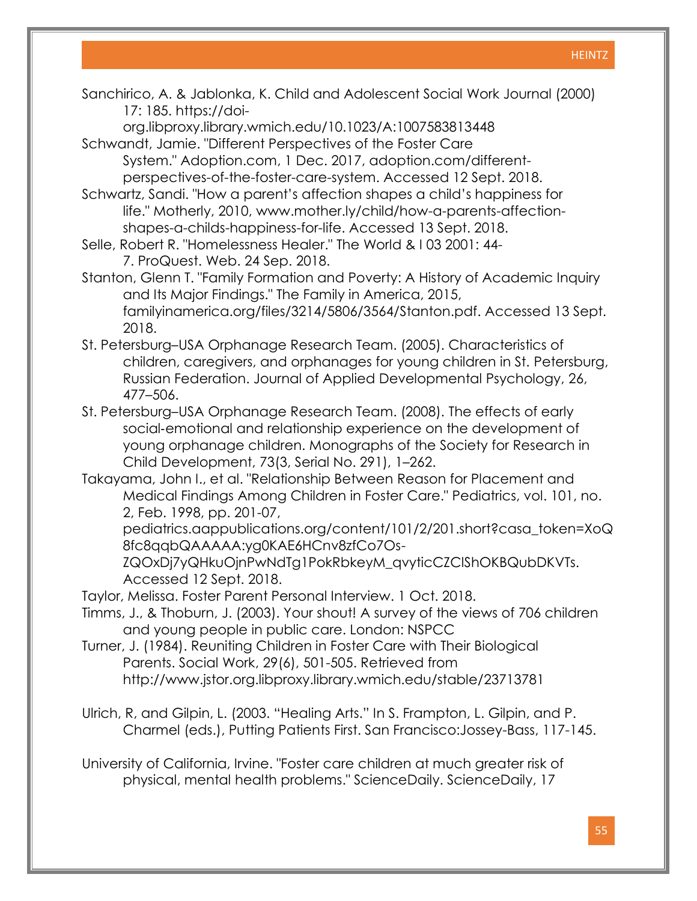Sanchirico, A. & Jablonka, K. Child and Adolescent Social Work Journal (2000) 17: 185. https://doi-

org.libproxy.library.wmich.edu/10.1023/A:1007583813448 Schwandt, Jamie. "Different Perspectives of the Foster Care

System." Adoption.com, 1 Dec. 2017, adoption.com/differentperspectives-of-the-foster-care-system. Accessed 12 Sept. 2018.

Schwartz, Sandi. "How a parent's affection shapes a child's happiness for life." Motherly, 2010, [www.mother.ly/child/how-a-parents-affection](http://www.mother.ly/child/how-a-parents-affection-shapes-a-childs-happiness-for-life.%20Accessed%2013%20Sept.%202018)[shapes-a-childs-happiness-for-life. Accessed 13 Sept. 2018.](http://www.mother.ly/child/how-a-parents-affection-shapes-a-childs-happiness-for-life.%20Accessed%2013%20Sept.%202018)

Selle, Robert R. "Homelessness Healer." The World & I 03 2001: 44- 7. ProQuest. Web. 24 Sep. 2018.

Stanton, Glenn T. "Family Formation and Poverty: A History of Academic Inquiry and Its Major Findings." The Family in America, 2015, familyinamerica.org/files/3214/5806/3564/Stanton.pdf. Accessed 13 Sept. 2018.

- St. Petersburg–USA Orphanage Research Team. (2005). Characteristics of children, caregivers, and orphanages for young children in St. Petersburg, Russian Federation. Journal of Applied Developmental Psychology, 26, 477–506.
- St. Petersburg–USA Orphanage Research Team. (2008). The effects of early social‐emotional and relationship experience on the development of young orphanage children. Monographs of the Society for Research in Child Development, 73(3, Serial No. 291), 1–262.
- Takayama, John I., et al. "Relationship Between Reason for Placement and Medical Findings Among Children in Foster Care." Pediatrics, vol. 101, no. 2, Feb. 1998, pp. 201-07,

pediatrics.aappublications.org/content/101/2/201.short?casa\_token=XoQ 8fc8qqbQAAAAA:yg0KAE6HCnv8zfCo7Os-

ZQOxDj7yQHkuOjnPwNdTg1PokRbkeyM\_qvyticCZClShOKBQubDKVTs. Accessed 12 Sept. 2018.

Taylor, Melissa. Foster Parent Personal Interview. 1 Oct. 2018.

- Timms, J., & Thoburn, J. (2003). Your shout! A survey of the views of 706 children and young people in public care. London: NSPCC
- Turner, J. (1984). Reuniting Children in Foster Care with Their Biological Parents. Social Work, 29(6), 501-505. Retrieved from <http://www.jstor.org.libproxy.library.wmich.edu/stable/23713781>
- Ulrich, R, and Gilpin, L. (2003. "Healing Arts." In S. Frampton, L. Gilpin, and P. Charmel (eds.), Putting Patients First. San Francisco:Jossey-Bass, 117-145.

University of California, Irvine. "Foster care children at much greater risk of physical, mental health problems." ScienceDaily. ScienceDaily, 17